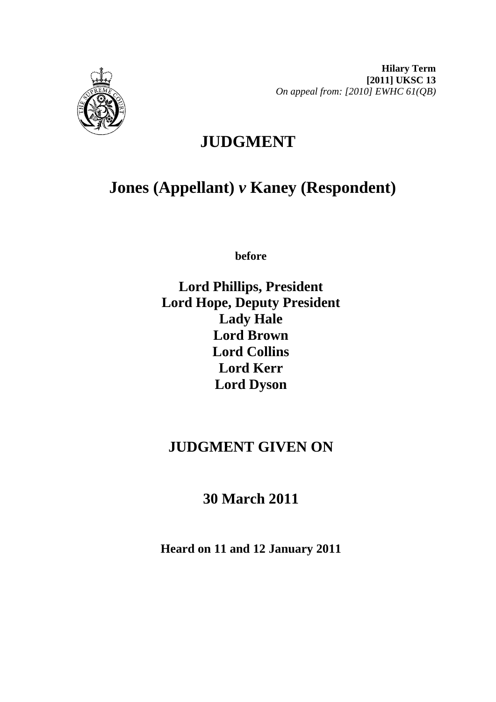

# **JUDGMENT**

# **Jones (Appellant)** *v* **Kaney (Respondent)**

**before** 

**Lord Phillips, President Lord Hope, Deputy President Lady Hale Lord Brown Lord Collins Lord Kerr Lord Dyson**

## **JUDGMENT GIVEN ON**

**30 March 2011**

**Heard on 11 and 12 January 2011**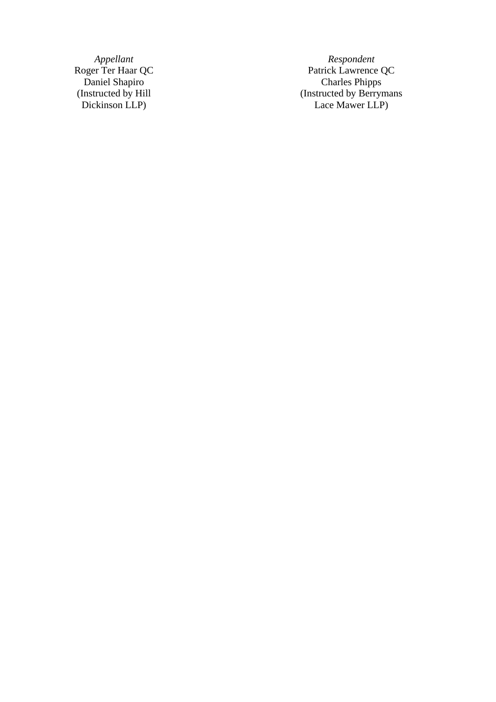(Instructed by Hill Dickinson LLP)

*Appellant Respondent*  Roger Ter Haar QC Patrick Lawrence QC Daniel Shapiro Charles Phipps (Instructed by Berrymans Lace Mawer LLP)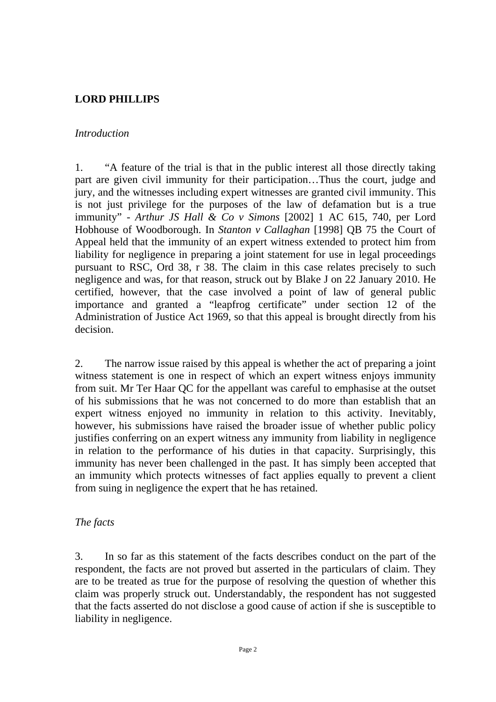## **LORD PHILLIPS**

#### *Introduction*

1. "A feature of the trial is that in the public interest all those directly taking part are given civil immunity for their participation…Thus the court, judge and jury, and the witnesses including expert witnesses are granted civil immunity. This is not just privilege for the purposes of the law of defamation but is a true immunity" - *Arthur JS Hall & Co v Simons* [2002] 1 AC 615, 740, per Lord Hobhouse of Woodborough. In *Stanton v Callaghan* [1998] QB 75 the Court of Appeal held that the immunity of an expert witness extended to protect him from liability for negligence in preparing a joint statement for use in legal proceedings pursuant to RSC, Ord 38, r 38. The claim in this case relates precisely to such negligence and was, for that reason, struck out by Blake J on 22 January 2010. He certified, however, that the case involved a point of law of general public importance and granted a "leapfrog certificate" under section 12 of the Administration of Justice Act 1969, so that this appeal is brought directly from his decision.

2. The narrow issue raised by this appeal is whether the act of preparing a joint witness statement is one in respect of which an expert witness enjoys immunity from suit. Mr Ter Haar QC for the appellant was careful to emphasise at the outset of his submissions that he was not concerned to do more than establish that an expert witness enjoyed no immunity in relation to this activity. Inevitably, however, his submissions have raised the broader issue of whether public policy justifies conferring on an expert witness any immunity from liability in negligence in relation to the performance of his duties in that capacity. Surprisingly, this immunity has never been challenged in the past. It has simply been accepted that an immunity which protects witnesses of fact applies equally to prevent a client from suing in negligence the expert that he has retained.

#### *The facts*

3. In so far as this statement of the facts describes conduct on the part of the respondent, the facts are not proved but asserted in the particulars of claim. They are to be treated as true for the purpose of resolving the question of whether this claim was properly struck out. Understandably, the respondent has not suggested that the facts asserted do not disclose a good cause of action if she is susceptible to liability in negligence.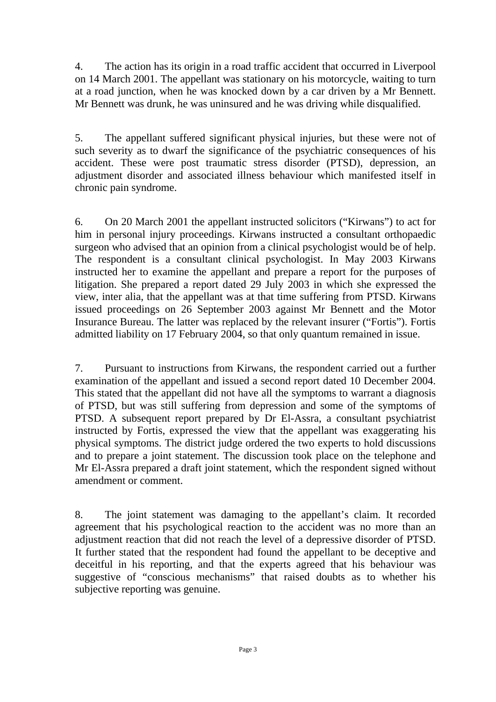4. The action has its origin in a road traffic accident that occurred in Liverpool on 14 March 2001. The appellant was stationary on his motorcycle, waiting to turn at a road junction, when he was knocked down by a car driven by a Mr Bennett. Mr Bennett was drunk, he was uninsured and he was driving while disqualified.

5. The appellant suffered significant physical injuries, but these were not of such severity as to dwarf the significance of the psychiatric consequences of his accident. These were post traumatic stress disorder (PTSD), depression, an adjustment disorder and associated illness behaviour which manifested itself in chronic pain syndrome.

6. On 20 March 2001 the appellant instructed solicitors ("Kirwans") to act for him in personal injury proceedings. Kirwans instructed a consultant orthopaedic surgeon who advised that an opinion from a clinical psychologist would be of help. The respondent is a consultant clinical psychologist. In May 2003 Kirwans instructed her to examine the appellant and prepare a report for the purposes of litigation. She prepared a report dated 29 July 2003 in which she expressed the view, inter alia, that the appellant was at that time suffering from PTSD. Kirwans issued proceedings on 26 September 2003 against Mr Bennett and the Motor Insurance Bureau. The latter was replaced by the relevant insurer ("Fortis"). Fortis admitted liability on 17 February 2004, so that only quantum remained in issue.

7. Pursuant to instructions from Kirwans, the respondent carried out a further examination of the appellant and issued a second report dated 10 December 2004. This stated that the appellant did not have all the symptoms to warrant a diagnosis of PTSD, but was still suffering from depression and some of the symptoms of PTSD. A subsequent report prepared by Dr El-Assra, a consultant psychiatrist instructed by Fortis, expressed the view that the appellant was exaggerating his physical symptoms. The district judge ordered the two experts to hold discussions and to prepare a joint statement. The discussion took place on the telephone and Mr El-Assra prepared a draft joint statement, which the respondent signed without amendment or comment.

8. The joint statement was damaging to the appellant's claim. It recorded agreement that his psychological reaction to the accident was no more than an adjustment reaction that did not reach the level of a depressive disorder of PTSD. It further stated that the respondent had found the appellant to be deceptive and deceitful in his reporting, and that the experts agreed that his behaviour was suggestive of "conscious mechanisms" that raised doubts as to whether his subjective reporting was genuine.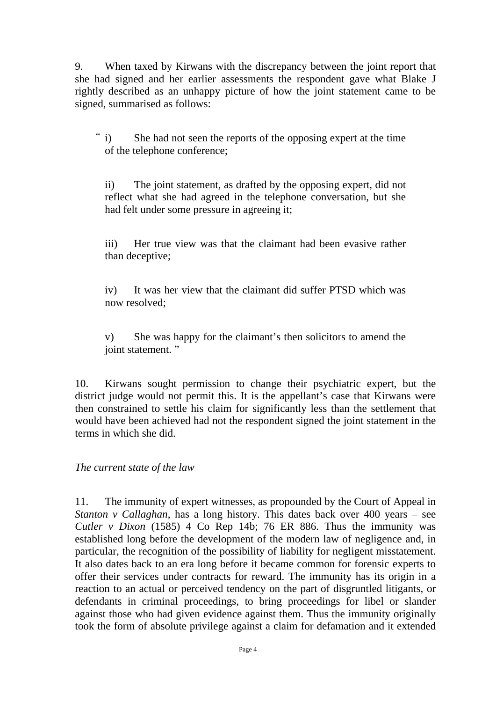9. When taxed by Kirwans with the discrepancy between the joint report that she had signed and her earlier assessments the respondent gave what Blake J rightly described as an unhappy picture of how the joint statement came to be signed, summarised as follows:

She had not seen the reports of the opposing expert at the time of the telephone conference;  $\degree$  i)

ii) The joint statement, as drafted by the opposing expert, did not reflect what she had agreed in the telephone conversation, but she had felt under some pressure in agreeing it;

iii) Her true view was that the claimant had been evasive rather than deceptive;

iv) It was her view that the claimant did suffer PTSD which was now resolved;

v) She was happy for the claimant's then solicitors to amend the joint statement."

10. Kirwans sought permission to change their psychiatric expert, but the district judge would not permit this. It is the appellant's case that Kirwans were then constrained to settle his claim for significantly less than the settlement that would have been achieved had not the respondent signed the joint statement in the terms in which she did.

*The current state of the law* 

11. The immunity of expert witnesses, as propounded by the Court of Appeal in *Stanton v Callaghan*, has a long history. This dates back over 400 years – see *Cutler v Dixon* (1585) 4 Co Rep 14b; 76 ER 886. Thus the immunity was established long before the development of the modern law of negligence and, in particular, the recognition of the possibility of liability for negligent misstatement. It also dates back to an era long before it became common for forensic experts to offer their services under contracts for reward. The immunity has its origin in a reaction to an actual or perceived tendency on the part of disgruntled litigants, or defendants in criminal proceedings, to bring proceedings for libel or slander against those who had given evidence against them. Thus the immunity originally took the form of absolute privilege against a claim for defamation and it extended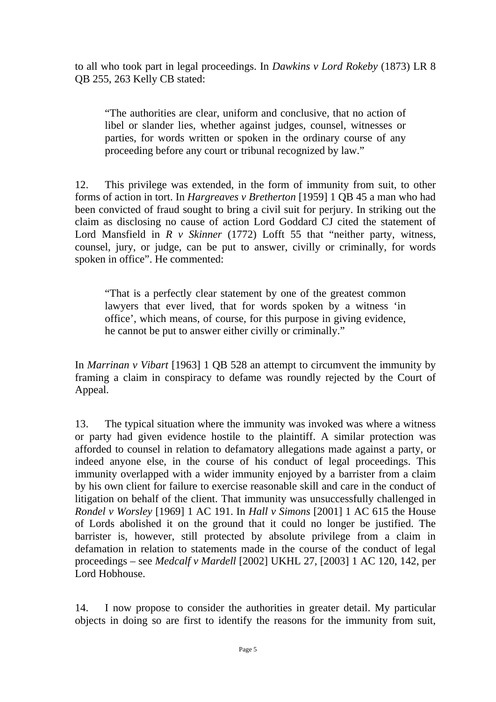to all who took part in legal proceedings. In *Dawkins v Lord Rokeby* (1873) LR 8 QB 255, 263 Kelly CB stated:

"The authorities are clear, uniform and conclusive, that no action of libel or slander lies, whether against judges, counsel, witnesses or parties, for words written or spoken in the ordinary course of any proceeding before any court or tribunal recognized by law."

12. This privilege was extended, in the form of immunity from suit, to other forms of action in tort. In *Hargreaves v Bretherton* [1959] 1 QB 45 a man who had been convicted of fraud sought to bring a civil suit for perjury. In striking out the claim as disclosing no cause of action Lord Goddard CJ cited the statement of Lord Mansfield in *R v Skinner* (1772) Lofft 55 that "neither party, witness, counsel, jury, or judge, can be put to answer, civilly or criminally, for words spoken in office". He commented:

"That is a perfectly clear statement by one of the greatest common lawyers that ever lived, that for words spoken by a witness 'in office', which means, of course, for this purpose in giving evidence, he cannot be put to answer either civilly or criminally."

In *Marrinan v Vibart* [1963] 1 QB 528 an attempt to circumvent the immunity by framing a claim in conspiracy to defame was roundly rejected by the Court of Appeal.

13. The typical situation where the immunity was invoked was where a witness or party had given evidence hostile to the plaintiff. A similar protection was afforded to counsel in relation to defamatory allegations made against a party, or indeed anyone else, in the course of his conduct of legal proceedings. This immunity overlapped with a wider immunity enjoyed by a barrister from a claim by his own client for failure to exercise reasonable skill and care in the conduct of litigation on behalf of the client. That immunity was unsuccessfully challenged in *Rondel v Worsley* [1969] 1 AC 191. In *Hall v Simons* [2001] 1 AC 615 the House of Lords abolished it on the ground that it could no longer be justified. The barrister is, however, still protected by absolute privilege from a claim in defamation in relation to statements made in the course of the conduct of legal proceedings – see *Medcalf v Mardell* [2002] UKHL 27, [2003] 1 AC 120, 142, per Lord Hobhouse.

14. I now propose to consider the authorities in greater detail. My particular objects in doing so are first to identify the reasons for the immunity from suit,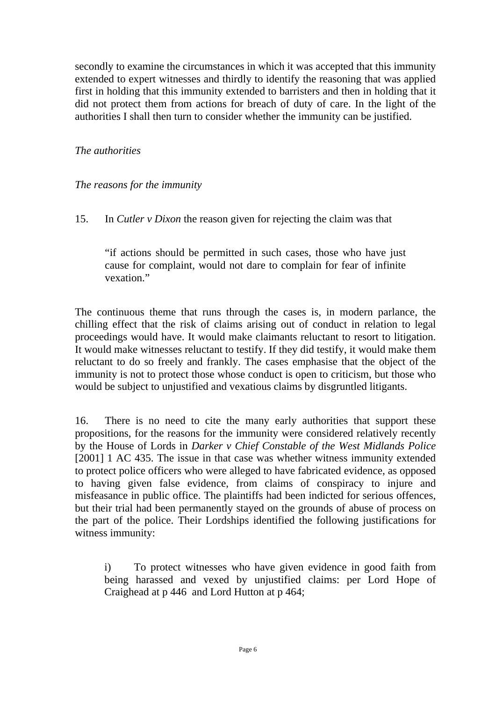secondly to examine the circumstances in which it was accepted that this immunity extended to expert witnesses and thirdly to identify the reasoning that was applied first in holding that this immunity extended to barristers and then in holding that it did not protect them from actions for breach of duty of care. In the light of the authorities I shall then turn to consider whether the immunity can be justified.

#### *The authorities*

#### *The reasons for the immunity*

15. In *Cutler v Dixon* the reason given for rejecting the claim was that

"if actions should be permitted in such cases, those who have just cause for complaint, would not dare to complain for fear of infinite vexation."

The continuous theme that runs through the cases is, in modern parlance, the chilling effect that the risk of claims arising out of conduct in relation to legal proceedings would have. It would make claimants reluctant to resort to litigation. It would make witnesses reluctant to testify. If they did testify, it would make them reluctant to do so freely and frankly. The cases emphasise that the object of the immunity is not to protect those whose conduct is open to criticism, but those who would be subject to unjustified and vexatious claims by disgruntled litigants.

16. There is no need to cite the many early authorities that support these propositions, for the reasons for the immunity were considered relatively recently by the House of Lords in *Darker v Chief Constable of the West Midlands Police*  [2001] 1 AC 435. The issue in that case was whether witness immunity extended to protect police officers who were alleged to have fabricated evidence, as opposed to having given false evidence, from claims of conspiracy to injure and misfeasance in public office. The plaintiffs had been indicted for serious offences, but their trial had been permanently stayed on the grounds of abuse of process on the part of the police. Their Lordships identified the following justifications for witness immunity:

i) To protect witnesses who have given evidence in good faith from being harassed and vexed by unjustified claims: per Lord Hope of Craighead at p 446 and Lord Hutton at p 464;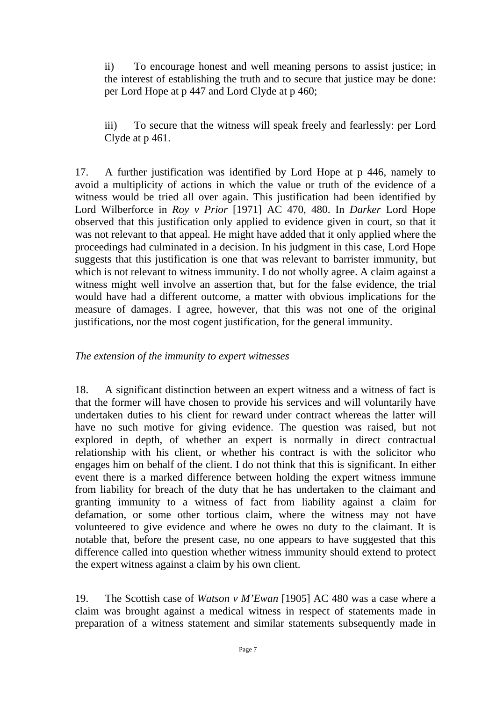ii) To encourage honest and well meaning persons to assist justice; in the interest of establishing the truth and to secure that justice may be done: per Lord Hope at p 447 and Lord Clyde at p 460;

iii) To secure that the witness will speak freely and fearlessly: per Lord Clyde at p 461.

17. A further justification was identified by Lord Hope at p 446, namely to avoid a multiplicity of actions in which the value or truth of the evidence of a witness would be tried all over again. This justification had been identified by Lord Wilberforce in *Roy v Prior* [1971] AC 470, 480. In *Darker* Lord Hope observed that this justification only applied to evidence given in court, so that it was not relevant to that appeal. He might have added that it only applied where the proceedings had culminated in a decision. In his judgment in this case, Lord Hope suggests that this justification is one that was relevant to barrister immunity, but which is not relevant to witness immunity. I do not wholly agree. A claim against a witness might well involve an assertion that, but for the false evidence, the trial would have had a different outcome, a matter with obvious implications for the measure of damages. I agree, however, that this was not one of the original justifications, nor the most cogent justification, for the general immunity.

#### *The extension of the immunity to expert witnesses*

18. A significant distinction between an expert witness and a witness of fact is that the former will have chosen to provide his services and will voluntarily have undertaken duties to his client for reward under contract whereas the latter will have no such motive for giving evidence. The question was raised, but not explored in depth, of whether an expert is normally in direct contractual relationship with his client, or whether his contract is with the solicitor who engages him on behalf of the client. I do not think that this is significant. In either event there is a marked difference between holding the expert witness immune from liability for breach of the duty that he has undertaken to the claimant and granting immunity to a witness of fact from liability against a claim for defamation, or some other tortious claim, where the witness may not have volunteered to give evidence and where he owes no duty to the claimant. It is notable that, before the present case, no one appears to have suggested that this difference called into question whether witness immunity should extend to protect the expert witness against a claim by his own client.

19. The Scottish case of *Watson v M'Ewan* [1905] AC 480 was a case where a claim was brought against a medical witness in respect of statements made in preparation of a witness statement and similar statements subsequently made in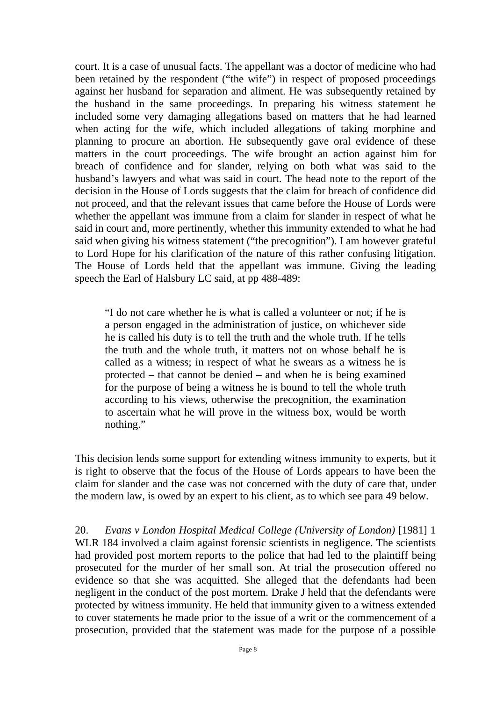court. It is a case of unusual facts. The appellant was a doctor of medicine who had been retained by the respondent ("the wife") in respect of proposed proceedings against her husband for separation and aliment. He was subsequently retained by the husband in the same proceedings. In preparing his witness statement he included some very damaging allegations based on matters that he had learned when acting for the wife, which included allegations of taking morphine and planning to procure an abortion. He subsequently gave oral evidence of these matters in the court proceedings. The wife brought an action against him for breach of confidence and for slander, relying on both what was said to the husband's lawyers and what was said in court. The head note to the report of the decision in the House of Lords suggests that the claim for breach of confidence did not proceed, and that the relevant issues that came before the House of Lords were whether the appellant was immune from a claim for slander in respect of what he said in court and, more pertinently, whether this immunity extended to what he had said when giving his witness statement ("the precognition"). I am however grateful to Lord Hope for his clarification of the nature of this rather confusing litigation. The House of Lords held that the appellant was immune. Giving the leading speech the Earl of Halsbury LC said, at pp 488-489:

"I do not care whether he is what is called a volunteer or not; if he is a person engaged in the administration of justice, on whichever side he is called his duty is to tell the truth and the whole truth. If he tells the truth and the whole truth, it matters not on whose behalf he is called as a witness; in respect of what he swears as a witness he is protected – that cannot be denied – and when he is being examined for the purpose of being a witness he is bound to tell the whole truth according to his views, otherwise the precognition, the examination to ascertain what he will prove in the witness box, would be worth nothing."

This decision lends some support for extending witness immunity to experts, but it is right to observe that the focus of the House of Lords appears to have been the claim for slander and the case was not concerned with the duty of care that, under the modern law, is owed by an expert to his client, as to which see para 49 below.

20. *Evans v London Hospital Medical College (University of London)* [1981] 1 WLR 184 involved a claim against forensic scientists in negligence. The scientists had provided post mortem reports to the police that had led to the plaintiff being prosecuted for the murder of her small son. At trial the prosecution offered no evidence so that she was acquitted. She alleged that the defendants had been negligent in the conduct of the post mortem. Drake J held that the defendants were protected by witness immunity. He held that immunity given to a witness extended to cover statements he made prior to the issue of a writ or the commencement of a prosecution, provided that the statement was made for the purpose of a possible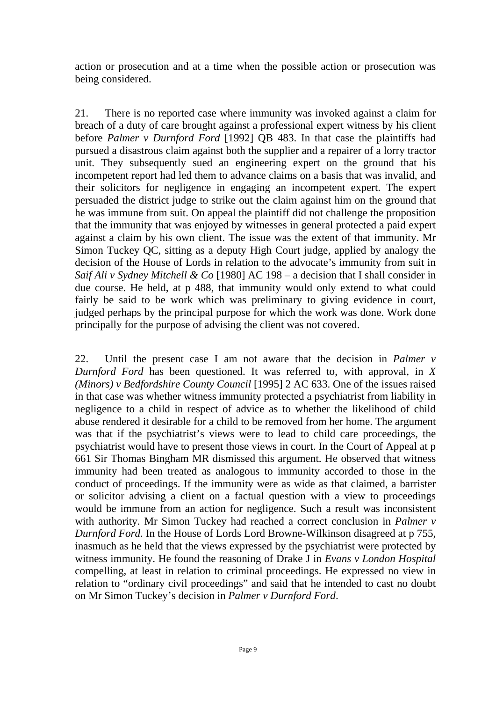action or prosecution and at a time when the possible action or prosecution was being considered.

21. There is no reported case where immunity was invoked against a claim for breach of a duty of care brought against a professional expert witness by his client before *Palmer v Durnford Ford* [1992] QB 483. In that case the plaintiffs had pursued a disastrous claim against both the supplier and a repairer of a lorry tractor unit. They subsequently sued an engineering expert on the ground that his incompetent report had led them to advance claims on a basis that was invalid, and their solicitors for negligence in engaging an incompetent expert. The expert persuaded the district judge to strike out the claim against him on the ground that he was immune from suit. On appeal the plaintiff did not challenge the proposition that the immunity that was enjoyed by witnesses in general protected a paid expert against a claim by his own client. The issue was the extent of that immunity. Mr Simon Tuckey QC, sitting as a deputy High Court judge, applied by analogy the decision of the House of Lords in relation to the advocate's immunity from suit in *Saif Ali v Sydney Mitchell & Co* [1980] AC 198 – a decision that I shall consider in due course. He held, at p 488, that immunity would only extend to what could fairly be said to be work which was preliminary to giving evidence in court, judged perhaps by the principal purpose for which the work was done. Work done principally for the purpose of advising the client was not covered.

22. Until the present case I am not aware that the decision in *Palmer v Durnford Ford* has been questioned. It was referred to, with approval, in *X (Minors) v Bedfordshire County Council* [1995] 2 AC 633. One of the issues raised in that case was whether witness immunity protected a psychiatrist from liability in negligence to a child in respect of advice as to whether the likelihood of child abuse rendered it desirable for a child to be removed from her home. The argument was that if the psychiatrist's views were to lead to child care proceedings, the psychiatrist would have to present those views in court. In the Court of Appeal at p 661 Sir Thomas Bingham MR dismissed this argument. He observed that witness immunity had been treated as analogous to immunity accorded to those in the conduct of proceedings. If the immunity were as wide as that claimed, a barrister or solicitor advising a client on a factual question with a view to proceedings would be immune from an action for negligence. Such a result was inconsistent with authority. Mr Simon Tuckey had reached a correct conclusion in *Palmer v Durnford Ford.* In the House of Lords Lord Browne-Wilkinson disagreed at p 755, inasmuch as he held that the views expressed by the psychiatrist were protected by witness immunity. He found the reasoning of Drake J in *Evans v London Hospital*  compelling, at least in relation to criminal proceedings. He expressed no view in relation to "ordinary civil proceedings" and said that he intended to cast no doubt on Mr Simon Tuckey's decision in *Palmer v Durnford Ford*.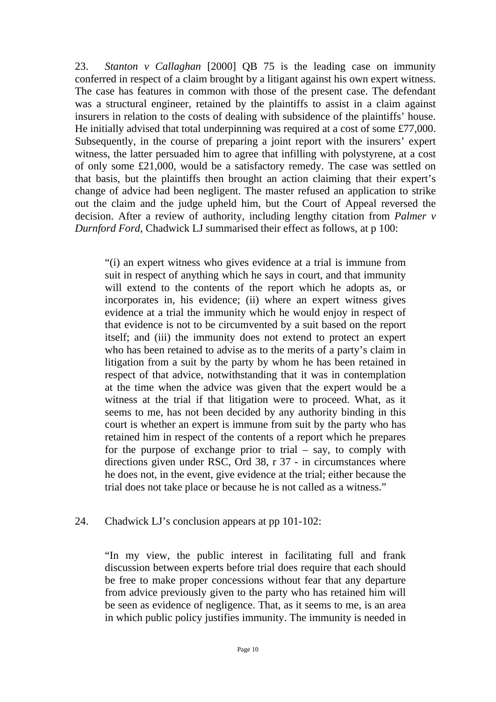23. *Stanton v Callaghan* [2000] QB 75 is the leading case on immunity conferred in respect of a claim brought by a litigant against his own expert witness. The case has features in common with those of the present case. The defendant was a structural engineer, retained by the plaintiffs to assist in a claim against insurers in relation to the costs of dealing with subsidence of the plaintiffs' house. He initially advised that total underpinning was required at a cost of some £77,000. Subsequently, in the course of preparing a joint report with the insurers' expert witness, the latter persuaded him to agree that infilling with polystyrene, at a cost of only some £21,000, would be a satisfactory remedy. The case was settled on that basis, but the plaintiffs then brought an action claiming that their expert's change of advice had been negligent. The master refused an application to strike out the claim and the judge upheld him, but the Court of Appeal reversed the decision. After a review of authority, including lengthy citation from *Palmer v Durnford Ford,* Chadwick LJ summarised their effect as follows, at p 100:

"(i) an expert witness who gives evidence at a trial is immune from suit in respect of anything which he says in court, and that immunity will extend to the contents of the report which he adopts as, or incorporates in, his evidence; (ii) where an expert witness gives evidence at a trial the immunity which he would enjoy in respect of that evidence is not to be circumvented by a suit based on the report itself; and (iii) the immunity does not extend to protect an expert who has been retained to advise as to the merits of a party's claim in litigation from a suit by the party by whom he has been retained in respect of that advice, notwithstanding that it was in contemplation at the time when the advice was given that the expert would be a witness at the trial if that litigation were to proceed. What, as it seems to me, has not been decided by any authority binding in this court is whether an expert is immune from suit by the party who has retained him in respect of the contents of a report which he prepares for the purpose of exchange prior to trial – say, to comply with directions given under RSC, Ord 38, r 37 - in circumstances where he does not, in the event, give evidence at the trial; either because the trial does not take place or because he is not called as a witness."

#### 24. Chadwick LJ's conclusion appears at pp 101-102:

"In my view, the public interest in facilitating full and frank discussion between experts before trial does require that each should be free to make proper concessions without fear that any departure from advice previously given to the party who has retained him will be seen as evidence of negligence. That, as it seems to me, is an area in which public policy justifies immunity. The immunity is needed in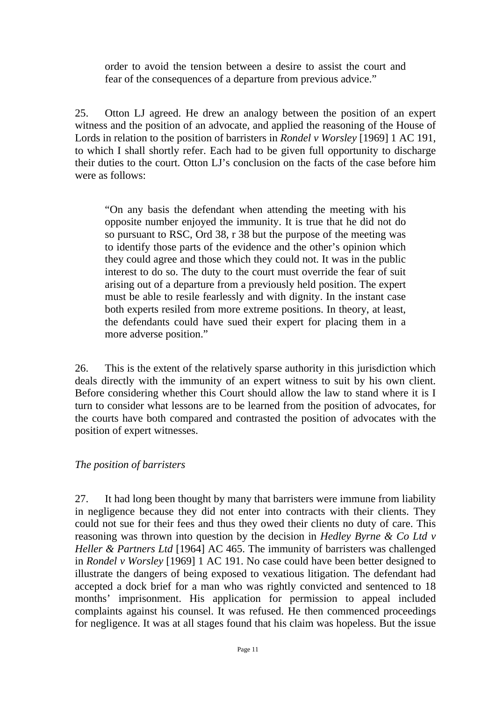order to avoid the tension between a desire to assist the court and fear of the consequences of a departure from previous advice."

25. Otton LJ agreed. He drew an analogy between the position of an expert witness and the position of an advocate, and applied the reasoning of the House of Lords in relation to the position of barristers in *Rondel v Worsley* [1969] 1 AC 191, to which I shall shortly refer. Each had to be given full opportunity to discharge their duties to the court. Otton LJ's conclusion on the facts of the case before him were as follows:

"On any basis the defendant when attending the meeting with his opposite number enjoyed the immunity. It is true that he did not do so pursuant to RSC, Ord 38, r 38 but the purpose of the meeting was to identify those parts of the evidence and the other's opinion which they could agree and those which they could not. It was in the public interest to do so. The duty to the court must override the fear of suit arising out of a departure from a previously held position. The expert must be able to resile fearlessly and with dignity. In the instant case both experts resiled from more extreme positions. In theory, at least, the defendants could have sued their expert for placing them in a more adverse position."

26. This is the extent of the relatively sparse authority in this jurisdiction which deals directly with the immunity of an expert witness to suit by his own client. Before considering whether this Court should allow the law to stand where it is I turn to consider what lessons are to be learned from the position of advocates, for the courts have both compared and contrasted the position of advocates with the position of expert witnesses.

#### *The position of barristers*

27. It had long been thought by many that barristers were immune from liability in negligence because they did not enter into contracts with their clients. They could not sue for their fees and thus they owed their clients no duty of care. This reasoning was thrown into question by the decision in *Hedley Byrne & Co Ltd v Heller & Partners Ltd* [1964] AC 465. The immunity of barristers was challenged in *Rondel v Worsley* [1969] 1 AC 191. No case could have been better designed to illustrate the dangers of being exposed to vexatious litigation. The defendant had accepted a dock brief for a man who was rightly convicted and sentenced to 18 months' imprisonment. His application for permission to appeal included complaints against his counsel. It was refused. He then commenced proceedings for negligence. It was at all stages found that his claim was hopeless. But the issue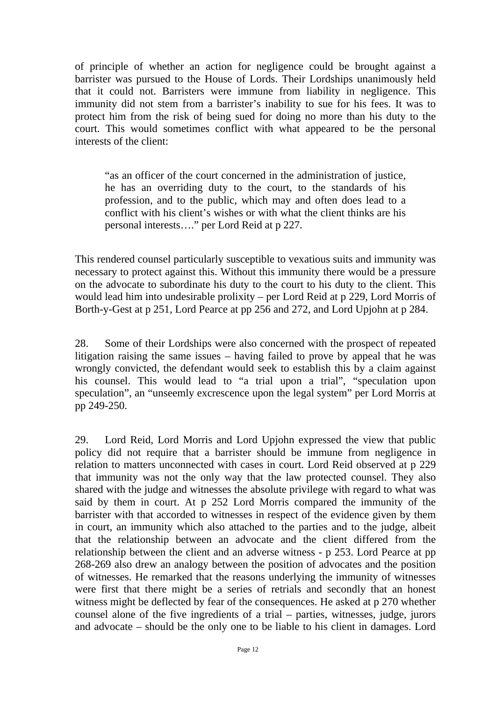of principle of whether an action for negligence could be brought against a barrister was pursued to the House of Lords. Their Lordships unanimously held that it could not. Barristers were immune from liability in negligence. This immunity did not stem from a barrister's inability to sue for his fees. It was to protect him from the risk of being sued for doing no more than his duty to the court. This would sometimes conflict with what appeared to be the personal interests of the client:

"as an officer of the court concerned in the administration of justice, he has an overriding duty to the court, to the standards of his profession, and to the public, which may and often does lead to a conflict with his client's wishes or with what the client thinks are his personal interests…." per Lord Reid at p 227.

This rendered counsel particularly susceptible to vexatious suits and immunity was necessary to protect against this. Without this immunity there would be a pressure on the advocate to subordinate his duty to the court to his duty to the client. This would lead him into undesirable prolixity – per Lord Reid at p 229, Lord Morris of Borth-y-Gest at p 251, Lord Pearce at pp 256 and 272, and Lord Upjohn at p 284.

28. Some of their Lordships were also concerned with the prospect of repeated litigation raising the same issues – having failed to prove by appeal that he was wrongly convicted, the defendant would seek to establish this by a claim against his counsel. This would lead to "a trial upon a trial", "speculation upon speculation", an "unseemly excrescence upon the legal system" per Lord Morris at pp 249-250.

29. Lord Reid, Lord Morris and Lord Upjohn expressed the view that public policy did not require that a barrister should be immune from negligence in relation to matters unconnected with cases in court. Lord Reid observed at p 229 that immunity was not the only way that the law protected counsel. They also shared with the judge and witnesses the absolute privilege with regard to what was said by them in court. At p 252 Lord Morris compared the immunity of the barrister with that accorded to witnesses in respect of the evidence given by them in court, an immunity which also attached to the parties and to the judge, albeit that the relationship between an advocate and the client differed from the relationship between the client and an adverse witness - p 253. Lord Pearce at pp 268-269 also drew an analogy between the position of advocates and the position of witnesses. He remarked that the reasons underlying the immunity of witnesses were first that there might be a series of retrials and secondly that an honest witness might be deflected by fear of the consequences. He asked at p 270 whether counsel alone of the five ingredients of a trial – parties, witnesses, judge, jurors and advocate – should be the only one to be liable to his client in damages. Lord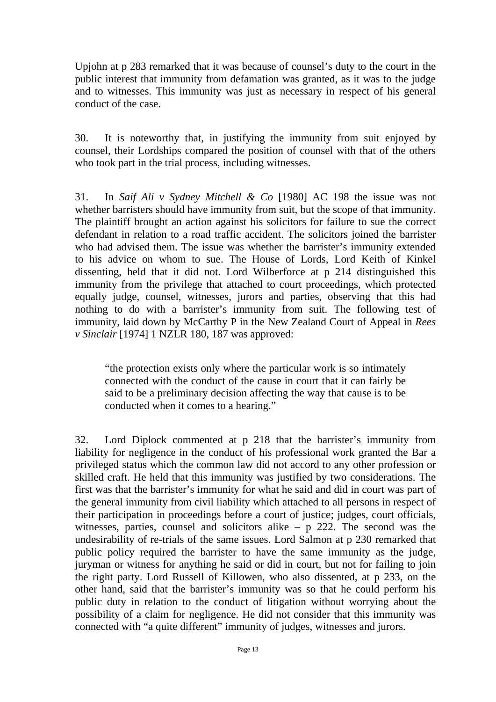Upjohn at p 283 remarked that it was because of counsel's duty to the court in the public interest that immunity from defamation was granted, as it was to the judge and to witnesses. This immunity was just as necessary in respect of his general conduct of the case.

30. It is noteworthy that, in justifying the immunity from suit enjoyed by counsel, their Lordships compared the position of counsel with that of the others who took part in the trial process, including witnesses.

31. In *Saif Ali v Sydney Mitchell & Co* [1980] AC 198 the issue was not whether barristers should have immunity from suit, but the scope of that immunity. The plaintiff brought an action against his solicitors for failure to sue the correct defendant in relation to a road traffic accident. The solicitors joined the barrister who had advised them. The issue was whether the barrister's immunity extended to his advice on whom to sue. The House of Lords, Lord Keith of Kinkel dissenting, held that it did not. Lord Wilberforce at p 214 distinguished this immunity from the privilege that attached to court proceedings, which protected equally judge, counsel, witnesses, jurors and parties, observing that this had nothing to do with a barrister's immunity from suit. The following test of immunity, laid down by McCarthy P in the New Zealand Court of Appeal in *Rees v Sinclair* [1974] 1 NZLR 180, 187 was approved:

"the protection exists only where the particular work is so intimately connected with the conduct of the cause in court that it can fairly be said to be a preliminary decision affecting the way that cause is to be conducted when it comes to a hearing."

32. Lord Diplock commented at p 218 that the barrister's immunity from liability for negligence in the conduct of his professional work granted the Bar a privileged status which the common law did not accord to any other profession or skilled craft. He held that this immunity was justified by two considerations. The first was that the barrister's immunity for what he said and did in court was part of the general immunity from civil liability which attached to all persons in respect of their participation in proceedings before a court of justice; judges, court officials, witnesses, parties, counsel and solicitors alike – p 222. The second was the undesirability of re-trials of the same issues. Lord Salmon at p 230 remarked that public policy required the barrister to have the same immunity as the judge, juryman or witness for anything he said or did in court, but not for failing to join the right party. Lord Russell of Killowen, who also dissented, at p 233, on the other hand, said that the barrister's immunity was so that he could perform his public duty in relation to the conduct of litigation without worrying about the possibility of a claim for negligence. He did not consider that this immunity was connected with "a quite different" immunity of judges, witnesses and jurors.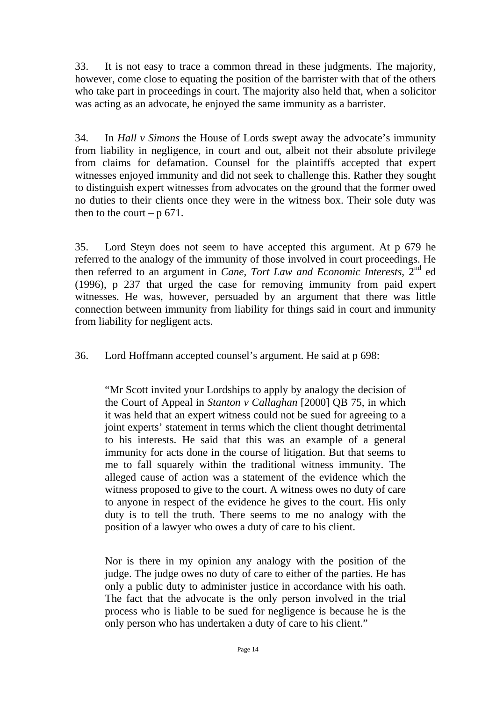33. It is not easy to trace a common thread in these judgments. The majority, however, come close to equating the position of the barrister with that of the others who take part in proceedings in court. The majority also held that, when a solicitor was acting as an advocate, he enjoyed the same immunity as a barrister.

34. In *Hall v Simons* the House of Lords swept away the advocate's immunity from liability in negligence, in court and out, albeit not their absolute privilege from claims for defamation. Counsel for the plaintiffs accepted that expert witnesses enjoyed immunity and did not seek to challenge this. Rather they sought to distinguish expert witnesses from advocates on the ground that the former owed no duties to their clients once they were in the witness box. Their sole duty was then to the court –  $p\,671$ .

35. Lord Steyn does not seem to have accepted this argument. At p 679 he referred to the analogy of the immunity of those involved in court proceedings. He then referred to an argument in *Cane, Tort Law and Economic Interests*, 2nd ed (1996), p 237 that urged the case for removing immunity from paid expert witnesses. He was, however, persuaded by an argument that there was little connection between immunity from liability for things said in court and immunity from liability for negligent acts.

36. Lord Hoffmann accepted counsel's argument. He said at p 698:

"Mr Scott invited your Lordships to apply by analogy the decision of the Court of Appeal in *Stanton v Callaghan* [2000] QB 75, in which it was held that an expert witness could not be sued for agreeing to a joint experts' statement in terms which the client thought detrimental to his interests. He said that this was an example of a general immunity for acts done in the course of litigation. But that seems to me to fall squarely within the traditional witness immunity. The alleged cause of action was a statement of the evidence which the witness proposed to give to the court. A witness owes no duty of care to anyone in respect of the evidence he gives to the court. His only duty is to tell the truth. There seems to me no analogy with the position of a lawyer who owes a duty of care to his client.

Nor is there in my opinion any analogy with the position of the judge. The judge owes no duty of care to either of the parties. He has only a public duty to administer justice in accordance with his oath. The fact that the advocate is the only person involved in the trial process who is liable to be sued for negligence is because he is the only person who has undertaken a duty of care to his client."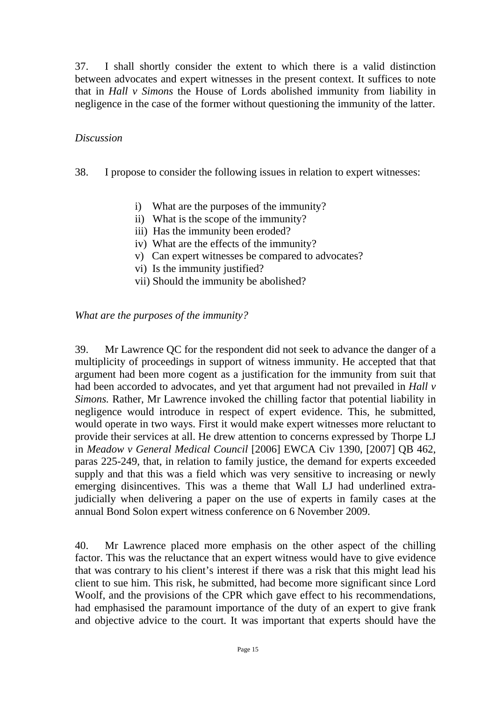37. I shall shortly consider the extent to which there is a valid distinction between advocates and expert witnesses in the present context. It suffices to note that in *Hall v Simons* the House of Lords abolished immunity from liability in negligence in the case of the former without questioning the immunity of the latter.

#### *Discussion*

38. I propose to consider the following issues in relation to expert witnesses:

- i) What are the purposes of the immunity?
- ii) What is the scope of the immunity?
- iii) Has the immunity been eroded?
- iv) What are the effects of the immunity?
- v) Can expert witnesses be compared to advocates?
- vi) Is the immunity justified?
- vii) Should the immunity be abolished?

*What are the purposes of the immunity?* 

39. Mr Lawrence QC for the respondent did not seek to advance the danger of a multiplicity of proceedings in support of witness immunity. He accepted that that argument had been more cogent as a justification for the immunity from suit that had been accorded to advocates, and yet that argument had not prevailed in *Hall v Simons.* Rather, Mr Lawrence invoked the chilling factor that potential liability in negligence would introduce in respect of expert evidence. This, he submitted, would operate in two ways. First it would make expert witnesses more reluctant to provide their services at all. He drew attention to concerns expressed by Thorpe LJ in *Meadow v General Medical Council* [2006] EWCA Civ 1390, [2007] QB 462, paras 225-249, that, in relation to family justice, the demand for experts exceeded supply and that this was a field which was very sensitive to increasing or newly emerging disincentives. This was a theme that Wall LJ had underlined extrajudicially when delivering a paper on the use of experts in family cases at the annual Bond Solon expert witness conference on 6 November 2009.

40. Mr Lawrence placed more emphasis on the other aspect of the chilling factor. This was the reluctance that an expert witness would have to give evidence that was contrary to his client's interest if there was a risk that this might lead his client to sue him. This risk, he submitted, had become more significant since Lord Woolf, and the provisions of the CPR which gave effect to his recommendations, had emphasised the paramount importance of the duty of an expert to give frank and objective advice to the court. It was important that experts should have the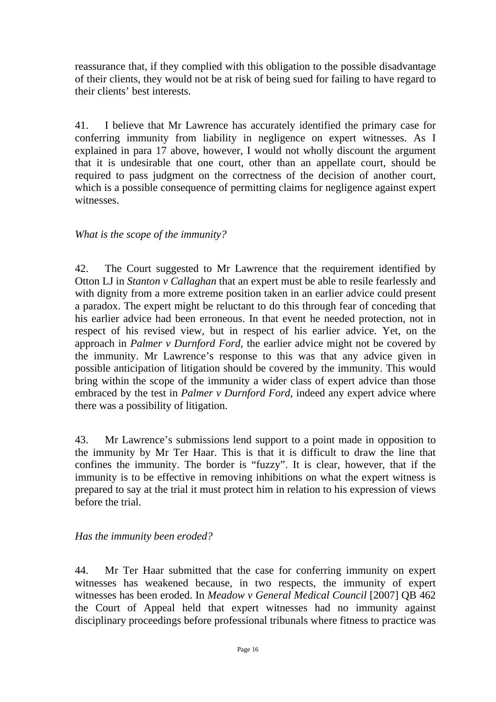reassurance that, if they complied with this obligation to the possible disadvantage of their clients, they would not be at risk of being sued for failing to have regard to their clients' best interests.

41. I believe that Mr Lawrence has accurately identified the primary case for conferring immunity from liability in negligence on expert witnesses. As I explained in para 17 above, however, I would not wholly discount the argument that it is undesirable that one court, other than an appellate court, should be required to pass judgment on the correctness of the decision of another court, which is a possible consequence of permitting claims for negligence against expert witnesses.

## *What is the scope of the immunity?*

42. The Court suggested to Mr Lawrence that the requirement identified by Otton LJ in *Stanton v Callaghan* that an expert must be able to resile fearlessly and with dignity from a more extreme position taken in an earlier advice could present a paradox. The expert might be reluctant to do this through fear of conceding that his earlier advice had been erroneous. In that event he needed protection, not in respect of his revised view, but in respect of his earlier advice. Yet, on the approach in *Palmer v Durnford Ford,* the earlier advice might not be covered by the immunity. Mr Lawrence's response to this was that any advice given in possible anticipation of litigation should be covered by the immunity. This would bring within the scope of the immunity a wider class of expert advice than those embraced by the test in *Palmer v Durnford Ford,* indeed any expert advice where there was a possibility of litigation.

43. Mr Lawrence's submissions lend support to a point made in opposition to the immunity by Mr Ter Haar. This is that it is difficult to draw the line that confines the immunity. The border is "fuzzy". It is clear, however, that if the immunity is to be effective in removing inhibitions on what the expert witness is prepared to say at the trial it must protect him in relation to his expression of views before the trial.

## *Has the immunity been eroded?*

44. Mr Ter Haar submitted that the case for conferring immunity on expert witnesses has weakened because, in two respects, the immunity of expert witnesses has been eroded. In *Meadow v General Medical Council* [2007] QB 462 the Court of Appeal held that expert witnesses had no immunity against disciplinary proceedings before professional tribunals where fitness to practice was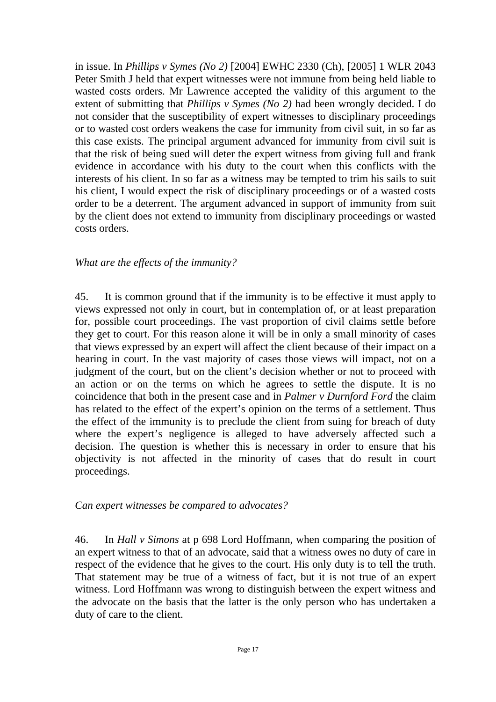in issue. In *Phillips v Symes (No 2)* [2004] EWHC 2330 (Ch), [2005] 1 WLR 2043 Peter Smith J held that expert witnesses were not immune from being held liable to wasted costs orders. Mr Lawrence accepted the validity of this argument to the extent of submitting that *Phillips v Symes (No 2)* had been wrongly decided. I do not consider that the susceptibility of expert witnesses to disciplinary proceedings or to wasted cost orders weakens the case for immunity from civil suit, in so far as this case exists. The principal argument advanced for immunity from civil suit is that the risk of being sued will deter the expert witness from giving full and frank evidence in accordance with his duty to the court when this conflicts with the interests of his client. In so far as a witness may be tempted to trim his sails to suit his client, I would expect the risk of disciplinary proceedings or of a wasted costs order to be a deterrent. The argument advanced in support of immunity from suit by the client does not extend to immunity from disciplinary proceedings or wasted costs orders.

#### *What are the effects of the immunity?*

45. It is common ground that if the immunity is to be effective it must apply to views expressed not only in court, but in contemplation of, or at least preparation for, possible court proceedings. The vast proportion of civil claims settle before they get to court. For this reason alone it will be in only a small minority of cases that views expressed by an expert will affect the client because of their impact on a hearing in court. In the vast majority of cases those views will impact, not on a judgment of the court, but on the client's decision whether or not to proceed with an action or on the terms on which he agrees to settle the dispute. It is no coincidence that both in the present case and in *Palmer v Durnford Ford* the claim has related to the effect of the expert's opinion on the terms of a settlement. Thus the effect of the immunity is to preclude the client from suing for breach of duty where the expert's negligence is alleged to have adversely affected such a decision. The question is whether this is necessary in order to ensure that his objectivity is not affected in the minority of cases that do result in court proceedings.

#### *Can expert witnesses be compared to advocates?*

46. In *Hall v Simons* at p 698 Lord Hoffmann, when comparing the position of an expert witness to that of an advocate, said that a witness owes no duty of care in respect of the evidence that he gives to the court. His only duty is to tell the truth. That statement may be true of a witness of fact, but it is not true of an expert witness. Lord Hoffmann was wrong to distinguish between the expert witness and the advocate on the basis that the latter is the only person who has undertaken a duty of care to the client.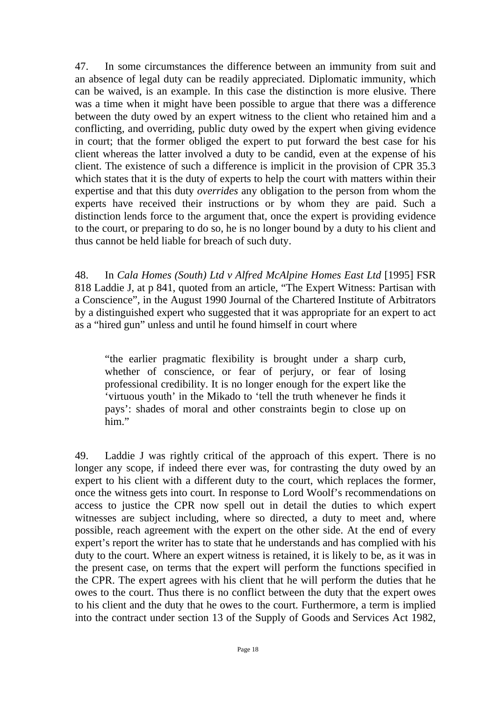47. In some circumstances the difference between an immunity from suit and an absence of legal duty can be readily appreciated. Diplomatic immunity, which can be waived, is an example. In this case the distinction is more elusive. There was a time when it might have been possible to argue that there was a difference between the duty owed by an expert witness to the client who retained him and a conflicting, and overriding, public duty owed by the expert when giving evidence in court; that the former obliged the expert to put forward the best case for his client whereas the latter involved a duty to be candid, even at the expense of his client. The existence of such a difference is implicit in the provision of CPR 35.3 which states that it is the duty of experts to help the court with matters within their expertise and that this duty *overrides* any obligation to the person from whom the experts have received their instructions or by whom they are paid. Such a distinction lends force to the argument that, once the expert is providing evidence to the court, or preparing to do so, he is no longer bound by a duty to his client and thus cannot be held liable for breach of such duty.

48. In *Cala Homes (South) Ltd v Alfred McAlpine Homes East Ltd* [1995] FSR 818 Laddie J, at p 841, quoted from an article, "The Expert Witness: Partisan with a Conscience", in the August 1990 Journal of the Chartered Institute of Arbitrators by a distinguished expert who suggested that it was appropriate for an expert to act as a "hired gun" unless and until he found himself in court where

"the earlier pragmatic flexibility is brought under a sharp curb, whether of conscience, or fear of perjury, or fear of losing professional credibility. It is no longer enough for the expert like the 'virtuous youth' in the Mikado to 'tell the truth whenever he finds it pays': shades of moral and other constraints begin to close up on him."

49. Laddie J was rightly critical of the approach of this expert. There is no longer any scope, if indeed there ever was, for contrasting the duty owed by an expert to his client with a different duty to the court, which replaces the former, once the witness gets into court. In response to Lord Woolf's recommendations on access to justice the CPR now spell out in detail the duties to which expert witnesses are subject including, where so directed, a duty to meet and, where possible, reach agreement with the expert on the other side. At the end of every expert's report the writer has to state that he understands and has complied with his duty to the court. Where an expert witness is retained, it is likely to be, as it was in the present case, on terms that the expert will perform the functions specified in the CPR. The expert agrees with his client that he will perform the duties that he owes to the court. Thus there is no conflict between the duty that the expert owes to his client and the duty that he owes to the court. Furthermore, a term is implied into the contract under section 13 of the Supply of Goods and Services Act 1982,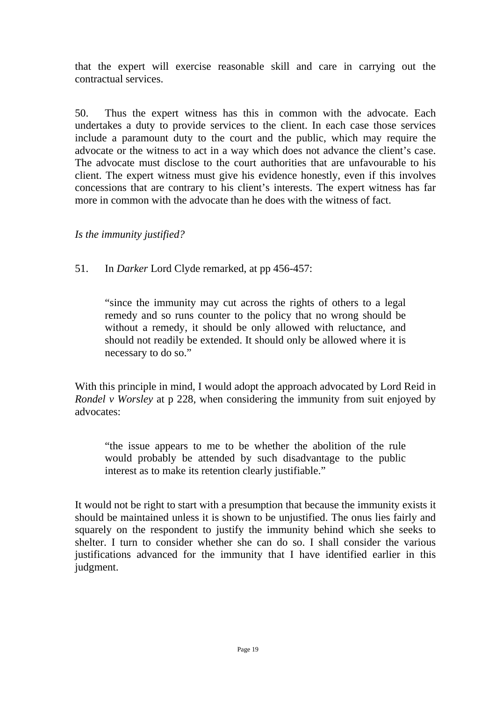that the expert will exercise reasonable skill and care in carrying out the contractual services.

50. Thus the expert witness has this in common with the advocate. Each undertakes a duty to provide services to the client. In each case those services include a paramount duty to the court and the public, which may require the advocate or the witness to act in a way which does not advance the client's case. The advocate must disclose to the court authorities that are unfavourable to his client. The expert witness must give his evidence honestly, even if this involves concessions that are contrary to his client's interests. The expert witness has far more in common with the advocate than he does with the witness of fact.

*Is the immunity justified?* 

## 51. In *Darker* Lord Clyde remarked, at pp 456-457:

"since the immunity may cut across the rights of others to a legal remedy and so runs counter to the policy that no wrong should be without a remedy, it should be only allowed with reluctance, and should not readily be extended. It should only be allowed where it is necessary to do so."

With this principle in mind, I would adopt the approach advocated by Lord Reid in *Rondel v Worsley* at p 228, when considering the immunity from suit enjoyed by advocates:

"the issue appears to me to be whether the abolition of the rule would probably be attended by such disadvantage to the public interest as to make its retention clearly justifiable."

It would not be right to start with a presumption that because the immunity exists it should be maintained unless it is shown to be unjustified. The onus lies fairly and squarely on the respondent to justify the immunity behind which she seeks to shelter. I turn to consider whether she can do so. I shall consider the various justifications advanced for the immunity that I have identified earlier in this judgment.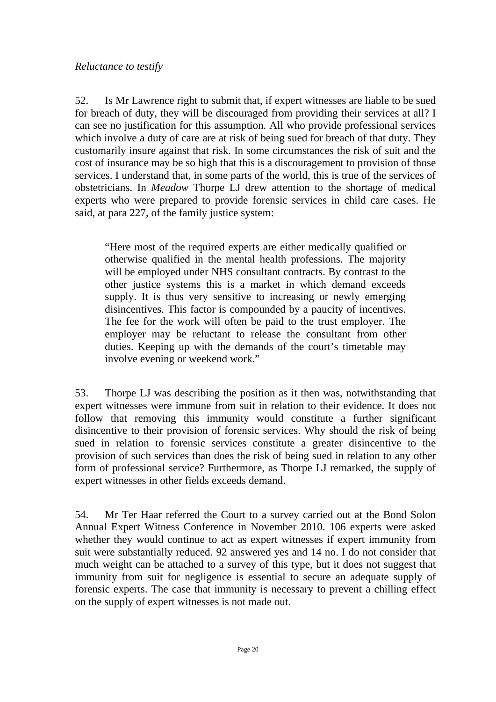52. Is Mr Lawrence right to submit that, if expert witnesses are liable to be sued for breach of duty, they will be discouraged from providing their services at all? I can see no justification for this assumption. All who provide professional services which involve a duty of care are at risk of being sued for breach of that duty. They customarily insure against that risk. In some circumstances the risk of suit and the cost of insurance may be so high that this is a discouragement to provision of those services. I understand that, in some parts of the world, this is true of the services of obstetricians. In *Meadow* Thorpe LJ drew attention to the shortage of medical experts who were prepared to provide forensic services in child care cases. He said, at para 227, of the family justice system:

"Here most of the required experts are either medically qualified or otherwise qualified in the mental health professions. The majority will be employed under NHS consultant contracts. By contrast to the other justice systems this is a market in which demand exceeds supply. It is thus very sensitive to increasing or newly emerging disincentives. This factor is compounded by a paucity of incentives. The fee for the work will often be paid to the trust employer. The employer may be reluctant to release the consultant from other duties. Keeping up with the demands of the court's timetable may involve evening or weekend work."

53. Thorpe LJ was describing the position as it then was, notwithstanding that expert witnesses were immune from suit in relation to their evidence. It does not follow that removing this immunity would constitute a further significant disincentive to their provision of forensic services. Why should the risk of being sued in relation to forensic services constitute a greater disincentive to the provision of such services than does the risk of being sued in relation to any other form of professional service? Furthermore, as Thorpe LJ remarked, the supply of expert witnesses in other fields exceeds demand.

54. Mr Ter Haar referred the Court to a survey carried out at the Bond Solon Annual Expert Witness Conference in November 2010. 106 experts were asked whether they would continue to act as expert witnesses if expert immunity from suit were substantially reduced. 92 answered yes and 14 no. I do not consider that much weight can be attached to a survey of this type, but it does not suggest that immunity from suit for negligence is essential to secure an adequate supply of forensic experts. The case that immunity is necessary to prevent a chilling effect on the supply of expert witnesses is not made out.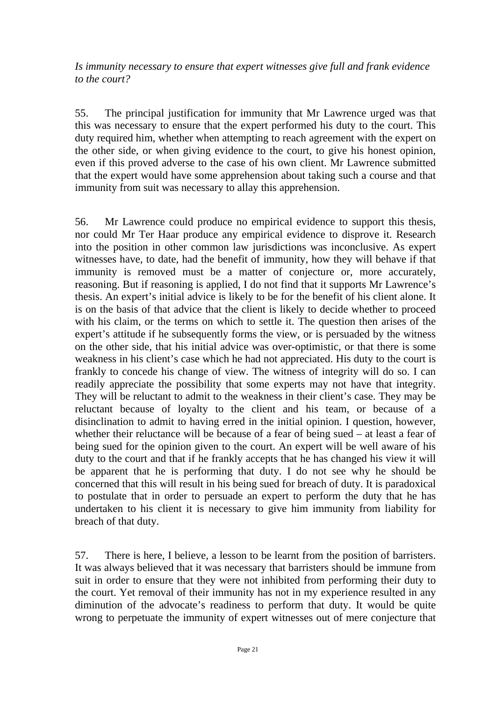*Is immunity necessary to ensure that expert witnesses give full and frank evidence to the court?* 

55. The principal justification for immunity that Mr Lawrence urged was that this was necessary to ensure that the expert performed his duty to the court. This duty required him, whether when attempting to reach agreement with the expert on the other side, or when giving evidence to the court, to give his honest opinion, even if this proved adverse to the case of his own client. Mr Lawrence submitted that the expert would have some apprehension about taking such a course and that immunity from suit was necessary to allay this apprehension.

56. Mr Lawrence could produce no empirical evidence to support this thesis, nor could Mr Ter Haar produce any empirical evidence to disprove it. Research into the position in other common law jurisdictions was inconclusive. As expert witnesses have, to date, had the benefit of immunity, how they will behave if that immunity is removed must be a matter of conjecture or, more accurately, reasoning. But if reasoning is applied, I do not find that it supports Mr Lawrence's thesis. An expert's initial advice is likely to be for the benefit of his client alone. It is on the basis of that advice that the client is likely to decide whether to proceed with his claim, or the terms on which to settle it. The question then arises of the expert's attitude if he subsequently forms the view, or is persuaded by the witness on the other side, that his initial advice was over-optimistic, or that there is some weakness in his client's case which he had not appreciated. His duty to the court is frankly to concede his change of view. The witness of integrity will do so. I can readily appreciate the possibility that some experts may not have that integrity. They will be reluctant to admit to the weakness in their client's case. They may be reluctant because of loyalty to the client and his team, or because of a disinclination to admit to having erred in the initial opinion. I question, however, whether their reluctance will be because of a fear of being sued – at least a fear of being sued for the opinion given to the court. An expert will be well aware of his duty to the court and that if he frankly accepts that he has changed his view it will be apparent that he is performing that duty. I do not see why he should be concerned that this will result in his being sued for breach of duty. It is paradoxical to postulate that in order to persuade an expert to perform the duty that he has undertaken to his client it is necessary to give him immunity from liability for breach of that duty.

57. There is here, I believe, a lesson to be learnt from the position of barristers. It was always believed that it was necessary that barristers should be immune from suit in order to ensure that they were not inhibited from performing their duty to the court. Yet removal of their immunity has not in my experience resulted in any diminution of the advocate's readiness to perform that duty. It would be quite wrong to perpetuate the immunity of expert witnesses out of mere conjecture that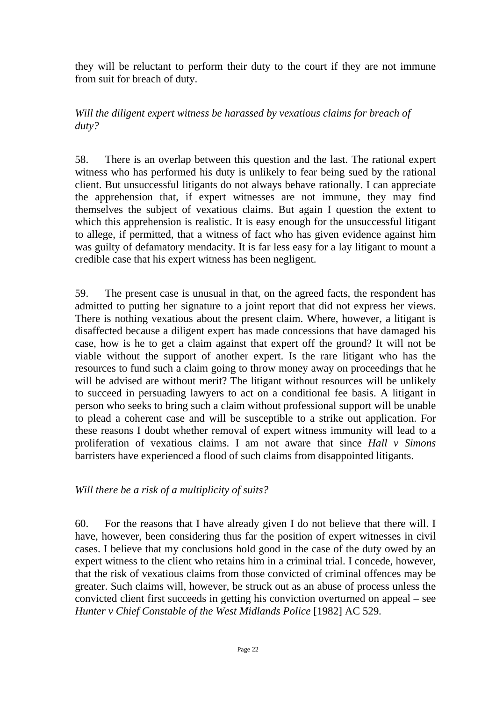they will be reluctant to perform their duty to the court if they are not immune from suit for breach of duty.

*Will the diligent expert witness be harassed by vexatious claims for breach of duty?* 

58. There is an overlap between this question and the last. The rational expert witness who has performed his duty is unlikely to fear being sued by the rational client. But unsuccessful litigants do not always behave rationally. I can appreciate the apprehension that, if expert witnesses are not immune, they may find themselves the subject of vexatious claims. But again I question the extent to which this apprehension is realistic. It is easy enough for the unsuccessful litigant to allege, if permitted, that a witness of fact who has given evidence against him was guilty of defamatory mendacity. It is far less easy for a lay litigant to mount a credible case that his expert witness has been negligent.

59. The present case is unusual in that, on the agreed facts, the respondent has admitted to putting her signature to a joint report that did not express her views. There is nothing vexatious about the present claim. Where, however, a litigant is disaffected because a diligent expert has made concessions that have damaged his case, how is he to get a claim against that expert off the ground? It will not be viable without the support of another expert. Is the rare litigant who has the resources to fund such a claim going to throw money away on proceedings that he will be advised are without merit? The litigant without resources will be unlikely to succeed in persuading lawyers to act on a conditional fee basis. A litigant in person who seeks to bring such a claim without professional support will be unable to plead a coherent case and will be susceptible to a strike out application. For these reasons I doubt whether removal of expert witness immunity will lead to a proliferation of vexatious claims. I am not aware that since *Hall v Simons*  barristers have experienced a flood of such claims from disappointed litigants.

*Will there be a risk of a multiplicity of suits?* 

60. For the reasons that I have already given I do not believe that there will. I have, however, been considering thus far the position of expert witnesses in civil cases. I believe that my conclusions hold good in the case of the duty owed by an expert witness to the client who retains him in a criminal trial. I concede, however, that the risk of vexatious claims from those convicted of criminal offences may be greater. Such claims will, however, be struck out as an abuse of process unless the convicted client first succeeds in getting his conviction overturned on appeal – see *Hunter v Chief Constable of the West Midlands Police* [1982] AC 529*.*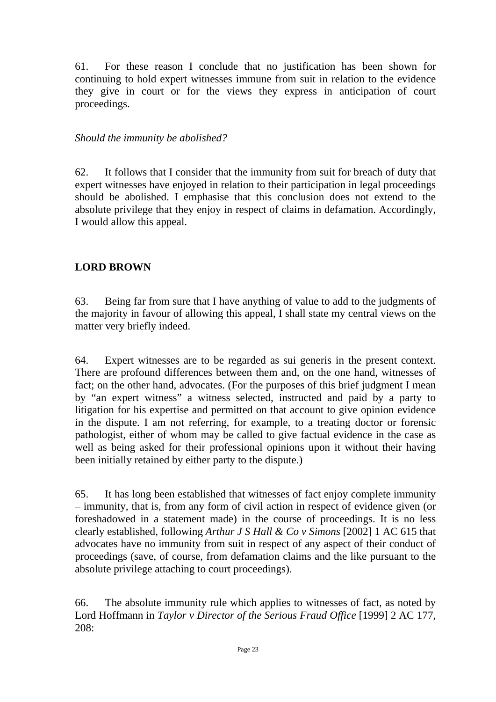61. For these reason I conclude that no justification has been shown for continuing to hold expert witnesses immune from suit in relation to the evidence they give in court or for the views they express in anticipation of court proceedings.

#### *Should the immunity be abolished?*

62. It follows that I consider that the immunity from suit for breach of duty that expert witnesses have enjoyed in relation to their participation in legal proceedings should be abolished. I emphasise that this conclusion does not extend to the absolute privilege that they enjoy in respect of claims in defamation. Accordingly, I would allow this appeal.

## **LORD BROWN**

63. Being far from sure that I have anything of value to add to the judgments of the majority in favour of allowing this appeal, I shall state my central views on the matter very briefly indeed.

64. Expert witnesses are to be regarded as sui generis in the present context. There are profound differences between them and, on the one hand, witnesses of fact; on the other hand, advocates. (For the purposes of this brief judgment I mean by "an expert witness" a witness selected, instructed and paid by a party to litigation for his expertise and permitted on that account to give opinion evidence in the dispute. I am not referring, for example, to a treating doctor or forensic pathologist, either of whom may be called to give factual evidence in the case as well as being asked for their professional opinions upon it without their having been initially retained by either party to the dispute.)

65. It has long been established that witnesses of fact enjoy complete immunity – immunity, that is, from any form of civil action in respect of evidence given (or foreshadowed in a statement made) in the course of proceedings. It is no less clearly established, following *Arthur J S Hall & Co v Simons* [2002] 1 AC 615 that advocates have no immunity from suit in respect of any aspect of their conduct of proceedings (save, of course, from defamation claims and the like pursuant to the absolute privilege attaching to court proceedings).

66. The absolute immunity rule which applies to witnesses of fact, as noted by Lord Hoffmann in *Taylor v Director of the Serious Fraud Office* [1999] 2 AC 177, 208: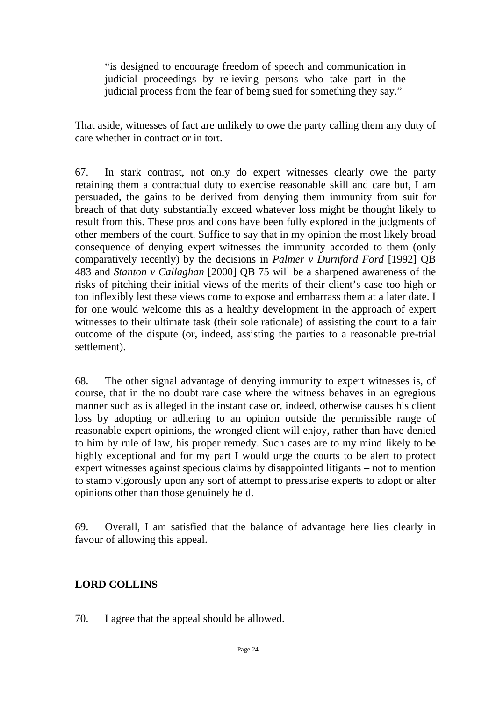"is designed to encourage freedom of speech and communication in judicial proceedings by relieving persons who take part in the judicial process from the fear of being sued for something they say."

That aside, witnesses of fact are unlikely to owe the party calling them any duty of care whether in contract or in tort.

67. In stark contrast, not only do expert witnesses clearly owe the party retaining them a contractual duty to exercise reasonable skill and care but, I am persuaded, the gains to be derived from denying them immunity from suit for breach of that duty substantially exceed whatever loss might be thought likely to result from this. These pros and cons have been fully explored in the judgments of other members of the court. Suffice to say that in my opinion the most likely broad consequence of denying expert witnesses the immunity accorded to them (only comparatively recently) by the decisions in *Palmer v Durnford Ford* [1992] QB 483 and *Stanton v Callaghan* [2000] QB 75 will be a sharpened awareness of the risks of pitching their initial views of the merits of their client's case too high or too inflexibly lest these views come to expose and embarrass them at a later date. I for one would welcome this as a healthy development in the approach of expert witnesses to their ultimate task (their sole rationale) of assisting the court to a fair outcome of the dispute (or, indeed, assisting the parties to a reasonable pre-trial settlement).

68. The other signal advantage of denying immunity to expert witnesses is, of course, that in the no doubt rare case where the witness behaves in an egregious manner such as is alleged in the instant case or, indeed, otherwise causes his client loss by adopting or adhering to an opinion outside the permissible range of reasonable expert opinions, the wronged client will enjoy, rather than have denied to him by rule of law, his proper remedy. Such cases are to my mind likely to be highly exceptional and for my part I would urge the courts to be alert to protect expert witnesses against specious claims by disappointed litigants – not to mention to stamp vigorously upon any sort of attempt to pressurise experts to adopt or alter opinions other than those genuinely held.

69. Overall, I am satisfied that the balance of advantage here lies clearly in favour of allowing this appeal.

## **LORD COLLINS**

70. I agree that the appeal should be allowed.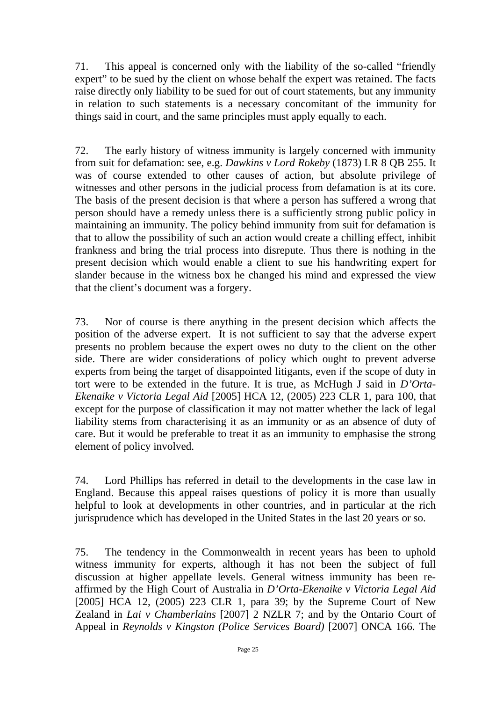71. This appeal is concerned only with the liability of the so-called "friendly expert" to be sued by the client on whose behalf the expert was retained. The facts raise directly only liability to be sued for out of court statements, but any immunity in relation to such statements is a necessary concomitant of the immunity for things said in court, and the same principles must apply equally to each.

72. The early history of witness immunity is largely concerned with immunity from suit for defamation: see, e.g. *Dawkins v Lord Rokeby* (1873) LR 8 QB 255. It was of course extended to other causes of action, but absolute privilege of witnesses and other persons in the judicial process from defamation is at its core. The basis of the present decision is that where a person has suffered a wrong that person should have a remedy unless there is a sufficiently strong public policy in maintaining an immunity. The policy behind immunity from suit for defamation is that to allow the possibility of such an action would create a chilling effect, inhibit frankness and bring the trial process into disrepute. Thus there is nothing in the present decision which would enable a client to sue his handwriting expert for slander because in the witness box he changed his mind and expressed the view that the client's document was a forgery.

73. Nor of course is there anything in the present decision which affects the position of the adverse expert. It is not sufficient to say that the adverse expert presents no problem because the expert owes no duty to the client on the other side. There are wider considerations of policy which ought to prevent adverse experts from being the target of disappointed litigants, even if the scope of duty in tort were to be extended in the future. It is true, as McHugh J said in *D'Orta-Ekenaike v Victoria Legal Aid* [2005] HCA 12, (2005) 223 CLR 1, para 100, that except for the purpose of classification it may not matter whether the lack of legal liability stems from characterising it as an immunity or as an absence of duty of care. But it would be preferable to treat it as an immunity to emphasise the strong element of policy involved.

74. Lord Phillips has referred in detail to the developments in the case law in England. Because this appeal raises questions of policy it is more than usually helpful to look at developments in other countries, and in particular at the rich jurisprudence which has developed in the United States in the last 20 years or so.

75. The tendency in the Commonwealth in recent years has been to uphold witness immunity for experts, although it has not been the subject of full discussion at higher appellate levels. General witness immunity has been reaffirmed by the High Court of Australia in *D'Orta-Ekenaike v Victoria Legal Aid*  [2005] HCA 12, (2005) 223 CLR 1, para 39; by the Supreme Court of New Zealand in *Lai v Chamberlains* [2007] 2 NZLR 7; and by the Ontario Court of Appeal in *Reynolds v Kingston (Police Services Board)* [2007] ONCA 166. The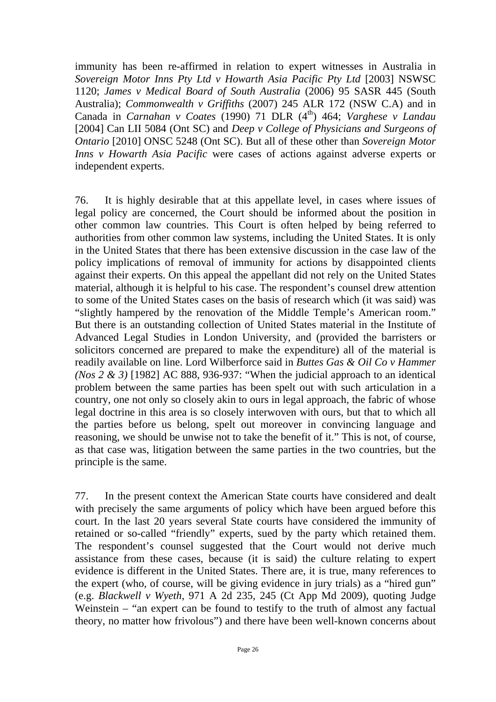immunity has been re-affirmed in relation to expert witnesses in Australia in *Sovereign Motor Inns Pty Ltd v Howarth Asia Pacific Pty Ltd* [2003] NSWSC 1120; *James v Medical Board of South Australia* (2006) 95 SASR 445 (South Australia); *Commonwealth v Griffiths* (2007) 245 ALR 172 (NSW C.A) and in Canada in *Carnahan v Coates* (1990) 71 DLR (4<sup>th</sup>) 464; *Varghese v Landau* [2004] Can LII 5084 (Ont SC) and *Deep v College of Physicians and Surgeons of Ontario* [2010] ONSC 5248 (Ont SC). But all of these other than *Sovereign Motor Inns v Howarth Asia Pacific* were cases of actions against adverse experts or independent experts.

76. It is highly desirable that at this appellate level, in cases where issues of legal policy are concerned, the Court should be informed about the position in other common law countries. This Court is often helped by being referred to authorities from other common law systems, including the United States. It is only in the United States that there has been extensive discussion in the case law of the policy implications of removal of immunity for actions by disappointed clients against their experts. On this appeal the appellant did not rely on the United States material, although it is helpful to his case. The respondent's counsel drew attention to some of the United States cases on the basis of research which (it was said) was "slightly hampered by the renovation of the Middle Temple's American room." But there is an outstanding collection of United States material in the Institute of Advanced Legal Studies in London University, and (provided the barristers or solicitors concerned are prepared to make the expenditure) all of the material is readily available on line. Lord Wilberforce said in *Buttes Gas & Oil Co v Hammer (Nos 2 & 3)* [1982] AC 888, 936-937: "When the judicial approach to an identical problem between the same parties has been spelt out with such articulation in a country, one not only so closely akin to ours in legal approach, the fabric of whose legal doctrine in this area is so closely interwoven with ours, but that to which all the parties before us belong, spelt out moreover in convincing language and reasoning, we should be unwise not to take the benefit of it." This is not, of course, as that case was, litigation between the same parties in the two countries, but the principle is the same.

77. In the present context the American State courts have considered and dealt with precisely the same arguments of policy which have been argued before this court. In the last 20 years several State courts have considered the immunity of retained or so-called "friendly" experts, sued by the party which retained them. The respondent's counsel suggested that the Court would not derive much assistance from these cases, because (it is said) the culture relating to expert evidence is different in the United States. There are, it is true, many references to the expert (who, of course, will be giving evidence in jury trials) as a "hired gun" (e.g. *Blackwell v Wyeth*, 971 A 2d 235, 245 (Ct App Md 2009), quoting Judge Weinstein – "an expert can be found to testify to the truth of almost any factual theory, no matter how frivolous") and there have been well-known concerns about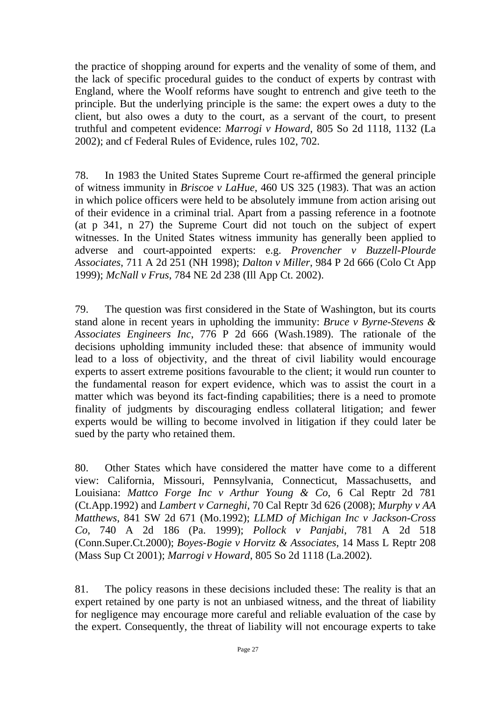the practice of shopping around for experts and the venality of some of them, and the lack of specific procedural guides to the conduct of experts by contrast with England, where the Woolf reforms have sought to entrench and give teeth to the principle. But the underlying principle is the same: the expert owes a duty to the client, but also owes a duty to the court, as a servant of the court, to present truthful and competent evidence: *Marrogi v Howard*, 805 So 2d 1118, 1132 (La 2002); and cf Federal Rules of Evidence, rules 102, 702.

78. In 1983 the United States Supreme Court re-affirmed the general principle of witness immunity in *Briscoe v LaHue*, 460 US 325 (1983). That was an action in which police officers were held to be absolutely immune from action arising out of their evidence in a criminal trial. Apart from a passing reference in a footnote (at p 341, n 27) the Supreme Court did not touch on the subject of expert witnesses. In the United States witness immunity has generally been applied to adverse and court-appointed experts: e.g. *Provencher v Buzzell-Plourde Associates*, 711 A 2d 251 (NH 1998); *Dalton v Miller*, 984 P 2d 666 (Colo Ct App 1999); *McNall v Frus*, 784 NE 2d 238 (Ill App Ct. 2002).

79. The question was first considered in the State of Washington, but its courts stand alone in recent years in upholding the immunity: *Bruce v Byrne-Stevens & Associates Engineers Inc*, 776 P 2d 666 (Wash.1989). The rationale of the decisions upholding immunity included these: that absence of immunity would lead to a loss of objectivity, and the threat of civil liability would encourage experts to assert extreme positions favourable to the client; it would run counter to the fundamental reason for expert evidence, which was to assist the court in a matter which was beyond its fact-finding capabilities; there is a need to promote finality of judgments by discouraging endless collateral litigation; and fewer experts would be willing to become involved in litigation if they could later be sued by the party who retained them.

80. Other States which have considered the matter have come to a different view: California, Missouri, Pennsylvania, Connecticut, Massachusetts, and Louisiana: *Mattco Forge Inc v Arthur Young & Co*, 6 Cal Reptr 2d 781 (Ct.App.1992) and *Lambert v Carneghi*, 70 Cal Reptr 3d 626 (2008); *Murphy v AA Matthews*, 841 SW 2d 671 (Mo.1992); *LLMD of Michigan Inc v Jackson-Cross Co*, 740 A 2d 186 (Pa. 1999); *Pollock v Panjabi*, 781 A 2d 518 (Conn.Super.Ct.2000); *Boyes-Bogie v Horvitz & Associates*, 14 Mass L Reptr 208 (Mass Sup Ct 2001); *Marrogi v Howard*, 805 So 2d 1118 (La.2002).

81. The policy reasons in these decisions included these: The reality is that an expert retained by one party is not an unbiased witness, and the threat of liability for negligence may encourage more careful and reliable evaluation of the case by the expert. Consequently, the threat of liability will not encourage experts to take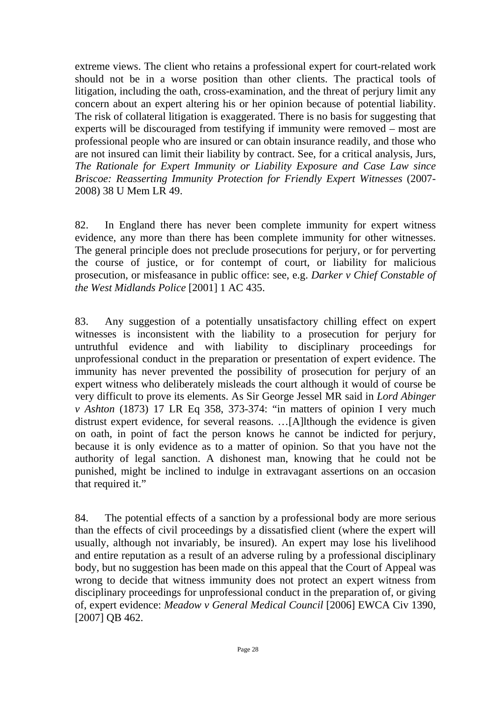extreme views. The client who retains a professional expert for court-related work should not be in a worse position than other clients. The practical tools of litigation, including the oath, cross-examination, and the threat of perjury limit any concern about an expert altering his or her opinion because of potential liability. The risk of collateral litigation is exaggerated. There is no basis for suggesting that experts will be discouraged from testifying if immunity were removed – most are professional people who are insured or can obtain insurance readily, and those who are not insured can limit their liability by contract. See, for a critical analysis, Jurs, *The Rationale for Expert Immunity or Liability Exposure and Case Law since Briscoe: Reasserting Immunity Protection for Friendly Expert Witnesses* (2007- 2008) 38 U Mem LR 49.

82. In England there has never been complete immunity for expert witness evidence, any more than there has been complete immunity for other witnesses. The general principle does not preclude prosecutions for perjury, or for perverting the course of justice, or for contempt of court, or liability for malicious prosecution, or misfeasance in public office: see, e.g. *Darker v Chief Constable of the West Midlands Police* [2001] 1 AC 435.

83. Any suggestion of a potentially unsatisfactory chilling effect on expert witnesses is inconsistent with the liability to a prosecution for perjury for untruthful evidence and with liability to disciplinary proceedings for unprofessional conduct in the preparation or presentation of expert evidence. The immunity has never prevented the possibility of prosecution for perjury of an expert witness who deliberately misleads the court although it would of course be very difficult to prove its elements. As Sir George Jessel MR said in *Lord Abinger v Ashton* (1873) 17 LR Eq 358, 373-374: "in matters of opinion I very much distrust expert evidence, for several reasons. …[A]lthough the evidence is given on oath, in point of fact the person knows he cannot be indicted for perjury, because it is only evidence as to a matter of opinion. So that you have not the authority of legal sanction. A dishonest man, knowing that he could not be punished, might be inclined to indulge in extravagant assertions on an occasion that required it."

84. The potential effects of a sanction by a professional body are more serious than the effects of civil proceedings by a dissatisfied client (where the expert will usually, although not invariably, be insured). An expert may lose his livelihood and entire reputation as a result of an adverse ruling by a professional disciplinary body, but no suggestion has been made on this appeal that the Court of Appeal was wrong to decide that witness immunity does not protect an expert witness from disciplinary proceedings for unprofessional conduct in the preparation of, or giving of, expert evidence: *Meadow v General Medical Council* [2006] EWCA Civ 1390, [2007] QB 462.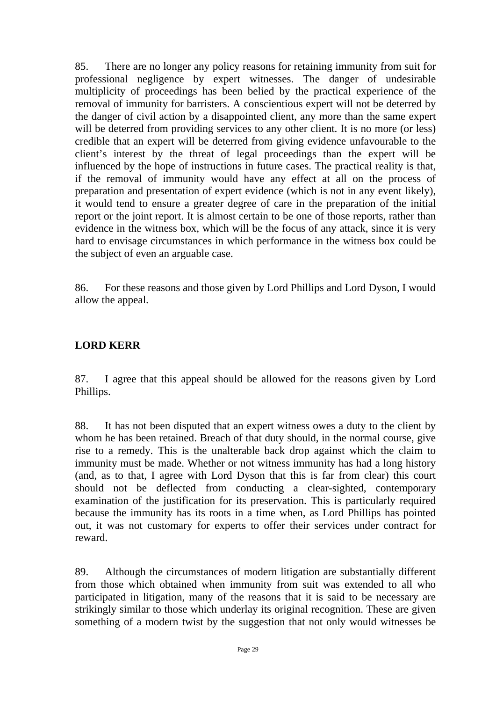85. There are no longer any policy reasons for retaining immunity from suit for professional negligence by expert witnesses. The danger of undesirable multiplicity of proceedings has been belied by the practical experience of the removal of immunity for barristers. A conscientious expert will not be deterred by the danger of civil action by a disappointed client, any more than the same expert will be deterred from providing services to any other client. It is no more (or less) credible that an expert will be deterred from giving evidence unfavourable to the client's interest by the threat of legal proceedings than the expert will be influenced by the hope of instructions in future cases. The practical reality is that, if the removal of immunity would have any effect at all on the process of preparation and presentation of expert evidence (which is not in any event likely), it would tend to ensure a greater degree of care in the preparation of the initial report or the joint report. It is almost certain to be one of those reports, rather than evidence in the witness box, which will be the focus of any attack, since it is very hard to envisage circumstances in which performance in the witness box could be the subject of even an arguable case.

86. For these reasons and those given by Lord Phillips and Lord Dyson, I would allow the appeal.

## **LORD KERR**

87. I agree that this appeal should be allowed for the reasons given by Lord Phillips.

88. It has not been disputed that an expert witness owes a duty to the client by whom he has been retained. Breach of that duty should, in the normal course, give rise to a remedy. This is the unalterable back drop against which the claim to immunity must be made. Whether or not witness immunity has had a long history (and, as to that, I agree with Lord Dyson that this is far from clear) this court should not be deflected from conducting a clear-sighted, contemporary examination of the justification for its preservation. This is particularly required because the immunity has its roots in a time when, as Lord Phillips has pointed out, it was not customary for experts to offer their services under contract for reward.

89. Although the circumstances of modern litigation are substantially different from those which obtained when immunity from suit was extended to all who participated in litigation, many of the reasons that it is said to be necessary are strikingly similar to those which underlay its original recognition. These are given something of a modern twist by the suggestion that not only would witnesses be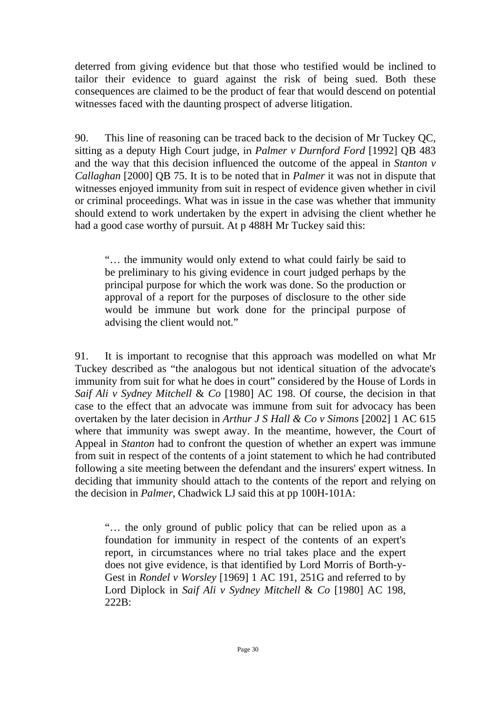deterred from giving evidence but that those who testified would be inclined to tailor their evidence to guard against the risk of being sued. Both these consequences are claimed to be the product of fear that would descend on potential witnesses faced with the daunting prospect of adverse litigation.

90. This line of reasoning can be traced back to the decision of Mr Tuckey QC, sitting as a deputy High Court judge, in *Palmer v Durnford Ford* [1992] QB 483 and the way that this decision influenced the outcome of the appeal in *Stanton v Callaghan* [2000] QB 75. It is to be noted that in *Palmer* it was not in dispute that witnesses enjoyed immunity from suit in respect of evidence given whether in civil or criminal proceedings. What was in issue in the case was whether that immunity should extend to work undertaken by the expert in advising the client whether he had a good case worthy of pursuit. At p 488H Mr Tuckey said this:

"… the immunity would only extend to what could fairly be said to be preliminary to his giving evidence in court judged perhaps by the principal purpose for which the work was done. So the production or approval of a report for the purposes of disclosure to the other side would be immune but work done for the principal purpose of advising the client would not."

91. It is important to recognise that this approach was modelled on what Mr Tuckey described as "the analogous but not identical situation of the advocate's immunity from suit for what he does in court" considered by the House of Lords in *Saif Ali v Sydney Mitchell* & *Co* [1980] AC 198. Of course, the decision in that case to the effect that an advocate was immune from suit for advocacy has been overtaken by the later decision in *Arthur J S Hall & Co v Simons* [2002] 1 AC 615 where that immunity was swept away. In the meantime, however, the Court of Appeal in *Stanton* had to confront the question of whether an expert was immune from suit in respect of the contents of a joint statement to which he had contributed following a site meeting between the defendant and the insurers' expert witness. In deciding that immunity should attach to the contents of the report and relying on the decision in *Palmer*, Chadwick LJ said this at pp 100H-101A:

"… the only ground of public policy that can be relied upon as a foundation for immunity in respect of the contents of an expert's report, in circumstances where no trial takes place and the expert does not give evidence, is that identified by Lord Morris of Borth-y-Gest in *Rondel v Worsley* [1969] 1 AC 191, 251G and referred to by Lord Diplock in *Saif Ali v Sydney Mitchell* & *Co* [1980] AC 198, 222B: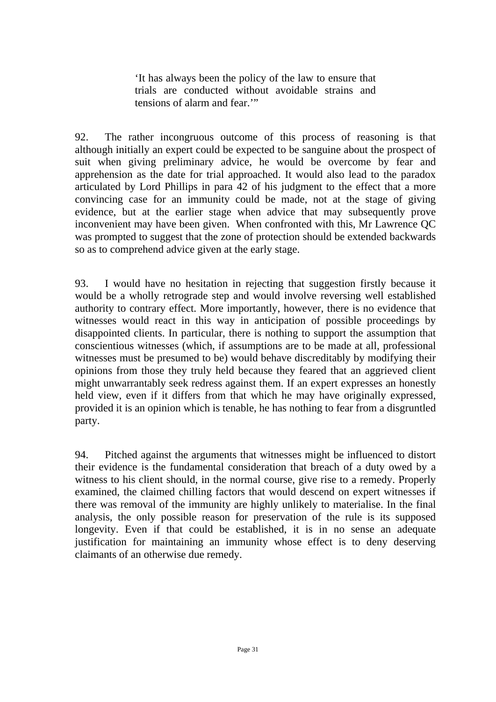'It has always been the policy of the law to ensure that trials are conducted without avoidable strains and tensions of alarm and fear.'"

92. The rather incongruous outcome of this process of reasoning is that although initially an expert could be expected to be sanguine about the prospect of suit when giving preliminary advice, he would be overcome by fear and apprehension as the date for trial approached. It would also lead to the paradox articulated by Lord Phillips in para 42 of his judgment to the effect that a more convincing case for an immunity could be made, not at the stage of giving evidence, but at the earlier stage when advice that may subsequently prove inconvenient may have been given. When confronted with this, Mr Lawrence QC was prompted to suggest that the zone of protection should be extended backwards so as to comprehend advice given at the early stage.

93. I would have no hesitation in rejecting that suggestion firstly because it would be a wholly retrograde step and would involve reversing well established authority to contrary effect. More importantly, however, there is no evidence that witnesses would react in this way in anticipation of possible proceedings by disappointed clients. In particular, there is nothing to support the assumption that conscientious witnesses (which, if assumptions are to be made at all, professional witnesses must be presumed to be) would behave discreditably by modifying their opinions from those they truly held because they feared that an aggrieved client might unwarrantably seek redress against them. If an expert expresses an honestly held view, even if it differs from that which he may have originally expressed, provided it is an opinion which is tenable, he has nothing to fear from a disgruntled party.

94. Pitched against the arguments that witnesses might be influenced to distort their evidence is the fundamental consideration that breach of a duty owed by a witness to his client should, in the normal course, give rise to a remedy. Properly examined, the claimed chilling factors that would descend on expert witnesses if there was removal of the immunity are highly unlikely to materialise. In the final analysis, the only possible reason for preservation of the rule is its supposed longevity. Even if that could be established, it is in no sense an adequate justification for maintaining an immunity whose effect is to deny deserving claimants of an otherwise due remedy.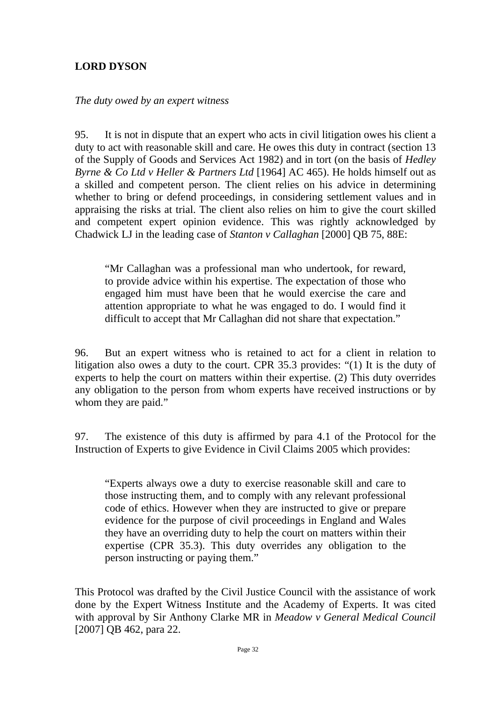## **LORD DYSON**

#### *The duty owed by an expert witness*

95. It is not in dispute that an expert who acts in civil litigation owes his client a duty to act with reasonable skill and care. He owes this duty in contract (section 13 of the Supply of Goods and Services Act 1982) and in tort (on the basis of *Hedley Byrne & Co Ltd v Heller & Partners Ltd* [1964] AC 465). He holds himself out as a skilled and competent person. The client relies on his advice in determining whether to bring or defend proceedings, in considering settlement values and in appraising the risks at trial. The client also relies on him to give the court skilled and competent expert opinion evidence. This was rightly acknowledged by Chadwick LJ in the leading case of *Stanton v Callaghan* [2000] QB 75, 88E:

"Mr Callaghan was a professional man who undertook, for reward, to provide advice within his expertise. The expectation of those who engaged him must have been that he would exercise the care and attention appropriate to what he was engaged to do. I would find it difficult to accept that Mr Callaghan did not share that expectation."

96. But an expert witness who is retained to act for a client in relation to litigation also owes a duty to the court. CPR 35.3 provides: "(1) It is the duty of experts to help the court on matters within their expertise. (2) This duty overrides any obligation to the person from whom experts have received instructions or by whom they are paid."

97. The existence of this duty is affirmed by para 4.1 of the Protocol for the Instruction of Experts to give Evidence in Civil Claims 2005 which provides:

"Experts always owe a duty to exercise reasonable skill and care to those instructing them, and to comply with any relevant professional code of ethics. However when they are instructed to give or prepare evidence for the purpose of civil proceedings in England and Wales they have an overriding duty to help the court on matters within their expertise (CPR 35.3). This duty overrides any obligation to the person instructing or paying them."

This Protocol was drafted by the Civil Justice Council with the assistance of work done by the Expert Witness Institute and the Academy of Experts. It was cited with approval by Sir Anthony Clarke MR in *Meadow v General Medical Council*  [2007] QB 462, para 22.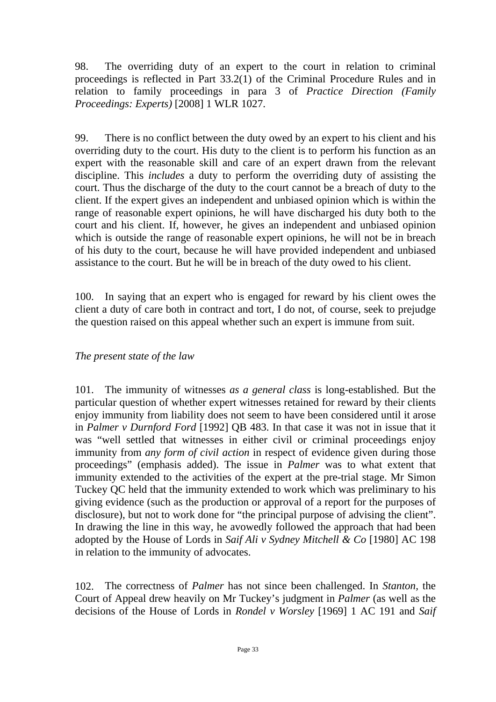98. The overriding duty of an expert to the court in relation to criminal proceedings is reflected in Part 33.2(1) of the Criminal Procedure Rules and in relation to family proceedings in para 3 of *Practice Direction (Family Proceedings: Experts)* [2008] 1 WLR 1027.

99. There is no conflict between the duty owed by an expert to his client and his overriding duty to the court. His duty to the client is to perform his function as an expert with the reasonable skill and care of an expert drawn from the relevant discipline. This *includes* a duty to perform the overriding duty of assisting the court. Thus the discharge of the duty to the court cannot be a breach of duty to the client. If the expert gives an independent and unbiased opinion which is within the range of reasonable expert opinions, he will have discharged his duty both to the court and his client. If, however, he gives an independent and unbiased opinion which is outside the range of reasonable expert opinions, he will not be in breach of his duty to the court, because he will have provided independent and unbiased assistance to the court. But he will be in breach of the duty owed to his client.

100. In saying that an expert who is engaged for reward by his client owes the client a duty of care both in contract and tort, I do not, of course, seek to prejudge the question raised on this appeal whether such an expert is immune from suit.

#### *The present state of the law*

101. The immunity of witnesses *as a general class* is long-established. But the particular question of whether expert witnesses retained for reward by their clients enjoy immunity from liability does not seem to have been considered until it arose in *Palmer v Durnford Ford* [1992] QB 483. In that case it was not in issue that it was "well settled that witnesses in either civil or criminal proceedings enjoy immunity from *any form of civil action* in respect of evidence given during those proceedings" (emphasis added). The issue in *Palmer* was to what extent that immunity extended to the activities of the expert at the pre-trial stage. Mr Simon Tuckey QC held that the immunity extended to work which was preliminary to his giving evidence (such as the production or approval of a report for the purposes of disclosure), but not to work done for "the principal purpose of advising the client". In drawing the line in this way, he avowedly followed the approach that had been adopted by the House of Lords in *Saif Ali v Sydney Mitchell & Co* [1980] AC 198 in relation to the immunity of advocates.

102. The correctness of *Palmer* has not since been challenged. In *Stanton,* the Court of Appeal drew heavily on Mr Tuckey's judgment in *Palmer* (as well as the decisions of the House of Lords in *Rondel v Worsley* [1969] 1 AC 191 and *Saif*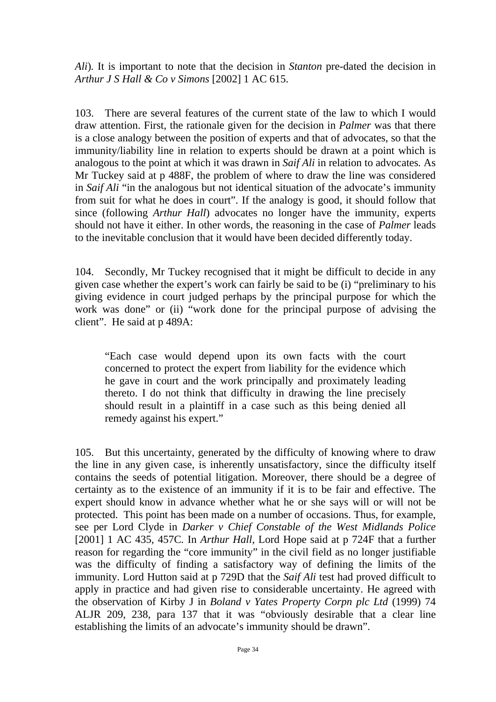*Ali*)*.* It is important to note that the decision in *Stanton* pre-dated the decision in *Arthur J S Hall & Co v Simons* [2002] 1 AC 615.

103. There are several features of the current state of the law to which I would draw attention. First, the rationale given for the decision in *Palmer* was that there is a close analogy between the position of experts and that of advocates, so that the immunity/liability line in relation to experts should be drawn at a point which is analogous to the point at which it was drawn in *Saif Ali* in relation to advocates*.* As Mr Tuckey said at p 488F, the problem of where to draw the line was considered in *Saif Ali* "in the analogous but not identical situation of the advocate's immunity from suit for what he does in court". If the analogy is good, it should follow that since (following *Arthur Hall*) advocates no longer have the immunity, experts should not have it either. In other words, the reasoning in the case of *Palmer* leads to the inevitable conclusion that it would have been decided differently today.

104. Secondly, Mr Tuckey recognised that it might be difficult to decide in any given case whether the expert's work can fairly be said to be (i) "preliminary to his giving evidence in court judged perhaps by the principal purpose for which the work was done" or (ii) "work done for the principal purpose of advising the client". He said at p 489A:

"Each case would depend upon its own facts with the court concerned to protect the expert from liability for the evidence which he gave in court and the work principally and proximately leading thereto. I do not think that difficulty in drawing the line precisely should result in a plaintiff in a case such as this being denied all remedy against his expert."

105. But this uncertainty, generated by the difficulty of knowing where to draw the line in any given case, is inherently unsatisfactory, since the difficulty itself contains the seeds of potential litigation. Moreover, there should be a degree of certainty as to the existence of an immunity if it is to be fair and effective. The expert should know in advance whether what he or she says will or will not be protected. This point has been made on a number of occasions. Thus, for example, see per Lord Clyde in *Darker v Chief Constable of the West Midlands Police*  [2001] 1 AC 435, 457C. In *Arthur Hall*, Lord Hope said at p 724F that a further reason for regarding the "core immunity" in the civil field as no longer justifiable was the difficulty of finding a satisfactory way of defining the limits of the immunity. Lord Hutton said at p 729D that the *Saif Ali* test had proved difficult to apply in practice and had given rise to considerable uncertainty. He agreed with the observation of Kirby J in *Boland v Yates Property Corpn plc Ltd* (1999) 74 ALJR 209, 238, para 137 that it was "obviously desirable that a clear line establishing the limits of an advocate's immunity should be drawn".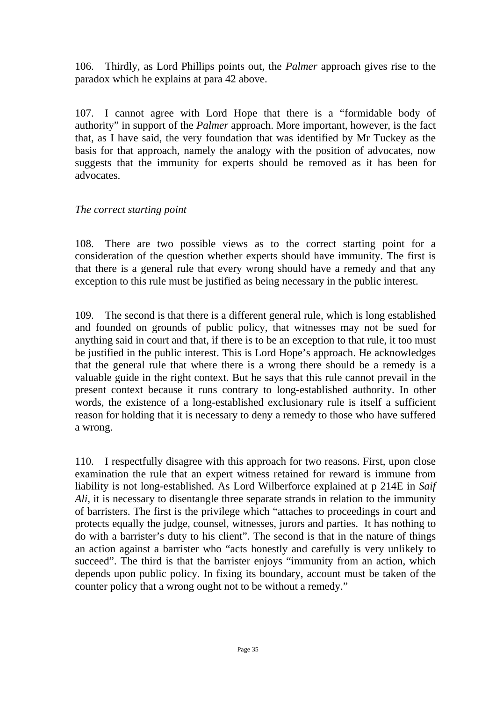106. Thirdly, as Lord Phillips points out, the *Palmer* approach gives rise to the paradox which he explains at para 42 above.

107. I cannot agree with Lord Hope that there is a "formidable body of authority" in support of the *Palmer* approach. More important, however, is the fact that, as I have said, the very foundation that was identified by Mr Tuckey as the basis for that approach, namely the analogy with the position of advocates, now suggests that the immunity for experts should be removed as it has been for advocates.

#### *The correct starting point*

108. There are two possible views as to the correct starting point for a consideration of the question whether experts should have immunity. The first is that there is a general rule that every wrong should have a remedy and that any exception to this rule must be justified as being necessary in the public interest.

109. The second is that there is a different general rule, which is long established and founded on grounds of public policy, that witnesses may not be sued for anything said in court and that, if there is to be an exception to that rule, it too must be justified in the public interest. This is Lord Hope's approach. He acknowledges that the general rule that where there is a wrong there should be a remedy is a valuable guide in the right context. But he says that this rule cannot prevail in the present context because it runs contrary to long-established authority. In other words, the existence of a long-established exclusionary rule is itself a sufficient reason for holding that it is necessary to deny a remedy to those who have suffered a wrong.

110. I respectfully disagree with this approach for two reasons. First, upon close examination the rule that an expert witness retained for reward is immune from liability is not long-established. As Lord Wilberforce explained at p 214E in *Saif Ali*, it is necessary to disentangle three separate strands in relation to the immunity of barristers. The first is the privilege which "attaches to proceedings in court and protects equally the judge, counsel, witnesses, jurors and parties. It has nothing to do with a barrister's duty to his client". The second is that in the nature of things an action against a barrister who "acts honestly and carefully is very unlikely to succeed". The third is that the barrister enjoys "immunity from an action, which depends upon public policy. In fixing its boundary, account must be taken of the counter policy that a wrong ought not to be without a remedy."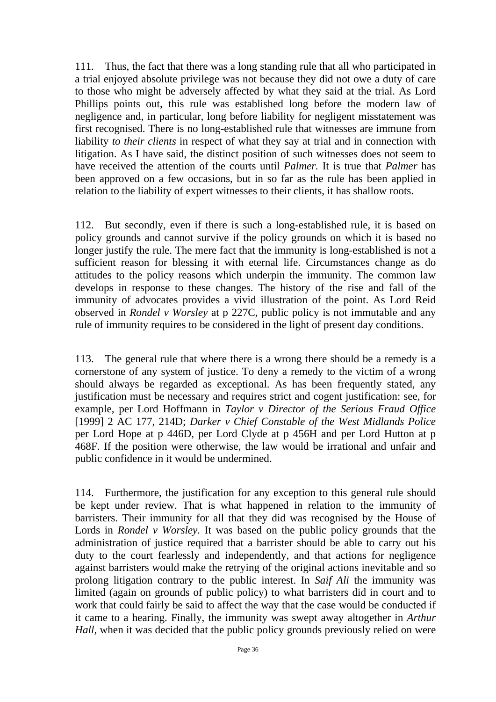111. Thus, the fact that there was a long standing rule that all who participated in a trial enjoyed absolute privilege was not because they did not owe a duty of care to those who might be adversely affected by what they said at the trial. As Lord Phillips points out, this rule was established long before the modern law of negligence and, in particular, long before liability for negligent misstatement was first recognised. There is no long-established rule that witnesses are immune from liability *to their clients* in respect of what they say at trial and in connection with litigation. As I have said, the distinct position of such witnesses does not seem to have received the attention of the courts until *Palmer.* It is true that *Palmer* has been approved on a few occasions, but in so far as the rule has been applied in relation to the liability of expert witnesses to their clients, it has shallow roots.

112. But secondly, even if there is such a long-established rule, it is based on policy grounds and cannot survive if the policy grounds on which it is based no longer justify the rule. The mere fact that the immunity is long-established is not a sufficient reason for blessing it with eternal life. Circumstances change as do attitudes to the policy reasons which underpin the immunity. The common law develops in response to these changes. The history of the rise and fall of the immunity of advocates provides a vivid illustration of the point. As Lord Reid observed in *Rondel v Worsley* at p 227C, public policy is not immutable and any rule of immunity requires to be considered in the light of present day conditions.

113. The general rule that where there is a wrong there should be a remedy is a cornerstone of any system of justice. To deny a remedy to the victim of a wrong should always be regarded as exceptional. As has been frequently stated, any justification must be necessary and requires strict and cogent justification: see, for example, per Lord Hoffmann in *Taylor v Director of the Serious Fraud Office*  [1999] 2 AC 177, 214D; *Darker v Chief Constable of the West Midlands Police* per Lord Hope at p 446D, per Lord Clyde at p 456H and per Lord Hutton at p 468F. If the position were otherwise, the law would be irrational and unfair and public confidence in it would be undermined.

114. Furthermore, the justification for any exception to this general rule should be kept under review. That is what happened in relation to the immunity of barristers. Their immunity for all that they did was recognised by the House of Lords in *Rondel v Worsley.* It was based on the public policy grounds that the administration of justice required that a barrister should be able to carry out his duty to the court fearlessly and independently, and that actions for negligence against barristers would make the retrying of the original actions inevitable and so prolong litigation contrary to the public interest. In *Saif Ali* the immunity was limited (again on grounds of public policy) to what barristers did in court and to work that could fairly be said to affect the way that the case would be conducted if it came to a hearing. Finally, the immunity was swept away altogether in *Arthur Hall*, when it was decided that the public policy grounds previously relied on were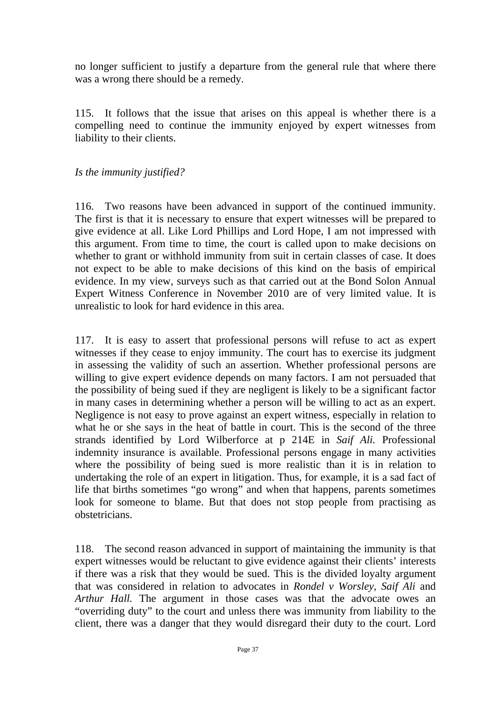no longer sufficient to justify a departure from the general rule that where there was a wrong there should be a remedy.

115. It follows that the issue that arises on this appeal is whether there is a compelling need to continue the immunity enjoyed by expert witnesses from liability to their clients.

#### *Is the immunity justified?*

116. Two reasons have been advanced in support of the continued immunity. The first is that it is necessary to ensure that expert witnesses will be prepared to give evidence at all. Like Lord Phillips and Lord Hope, I am not impressed with this argument. From time to time, the court is called upon to make decisions on whether to grant or withhold immunity from suit in certain classes of case. It does not expect to be able to make decisions of this kind on the basis of empirical evidence. In my view, surveys such as that carried out at the Bond Solon Annual Expert Witness Conference in November 2010 are of very limited value. It is unrealistic to look for hard evidence in this area.

117. It is easy to assert that professional persons will refuse to act as expert witnesses if they cease to enjoy immunity. The court has to exercise its judgment in assessing the validity of such an assertion. Whether professional persons are willing to give expert evidence depends on many factors. I am not persuaded that the possibility of being sued if they are negligent is likely to be a significant factor in many cases in determining whether a person will be willing to act as an expert. Negligence is not easy to prove against an expert witness, especially in relation to what he or she says in the heat of battle in court. This is the second of the three strands identified by Lord Wilberforce at p 214E in *Saif Ali.* Professional indemnity insurance is available. Professional persons engage in many activities where the possibility of being sued is more realistic than it is in relation to undertaking the role of an expert in litigation. Thus, for example, it is a sad fact of life that births sometimes "go wrong" and when that happens, parents sometimes look for someone to blame. But that does not stop people from practising as obstetricians.

118. The second reason advanced in support of maintaining the immunity is that expert witnesses would be reluctant to give evidence against their clients' interests if there was a risk that they would be sued. This is the divided loyalty argument that was considered in relation to advocates in *Rondel v Worsley, Saif Ali* and *Arthur Hall.* The argument in those cases was that the advocate owes an "overriding duty" to the court and unless there was immunity from liability to the client, there was a danger that they would disregard their duty to the court. Lord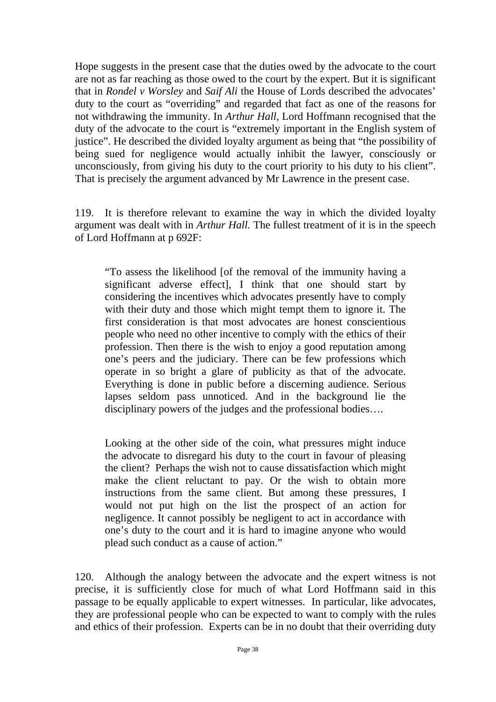Hope suggests in the present case that the duties owed by the advocate to the court are not as far reaching as those owed to the court by the expert. But it is significant that in *Rondel v Worsley* and *Saif Ali* the House of Lords described the advocates' duty to the court as "overriding" and regarded that fact as one of the reasons for not withdrawing the immunity. In *Arthur Hall,* Lord Hoffmann recognised that the duty of the advocate to the court is "extremely important in the English system of justice". He described the divided loyalty argument as being that "the possibility of being sued for negligence would actually inhibit the lawyer, consciously or unconsciously, from giving his duty to the court priority to his duty to his client". That is precisely the argument advanced by Mr Lawrence in the present case.

119. It is therefore relevant to examine the way in which the divided loyalty argument was dealt with in *Arthur Hall.* The fullest treatment of it is in the speech of Lord Hoffmann at p 692F:

"To assess the likelihood [of the removal of the immunity having a significant adverse effect], I think that one should start by considering the incentives which advocates presently have to comply with their duty and those which might tempt them to ignore it. The first consideration is that most advocates are honest conscientious people who need no other incentive to comply with the ethics of their profession. Then there is the wish to enjoy a good reputation among one's peers and the judiciary. There can be few professions which operate in so bright a glare of publicity as that of the advocate. Everything is done in public before a discerning audience. Serious lapses seldom pass unnoticed. And in the background lie the disciplinary powers of the judges and the professional bodies….

Looking at the other side of the coin, what pressures might induce the advocate to disregard his duty to the court in favour of pleasing the client? Perhaps the wish not to cause dissatisfaction which might make the client reluctant to pay. Or the wish to obtain more instructions from the same client. But among these pressures, I would not put high on the list the prospect of an action for negligence. It cannot possibly be negligent to act in accordance with one's duty to the court and it is hard to imagine anyone who would plead such conduct as a cause of action."

120. Although the analogy between the advocate and the expert witness is not precise, it is sufficiently close for much of what Lord Hoffmann said in this passage to be equally applicable to expert witnesses. In particular, like advocates, they are professional people who can be expected to want to comply with the rules and ethics of their profession. Experts can be in no doubt that their overriding duty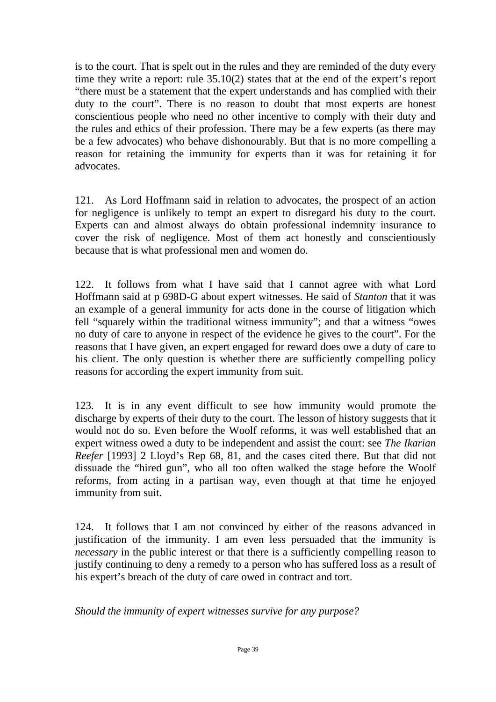is to the court. That is spelt out in the rules and they are reminded of the duty every time they write a report: rule 35.10(2) states that at the end of the expert's report "there must be a statement that the expert understands and has complied with their duty to the court". There is no reason to doubt that most experts are honest conscientious people who need no other incentive to comply with their duty and the rules and ethics of their profession. There may be a few experts (as there may be a few advocates) who behave dishonourably. But that is no more compelling a reason for retaining the immunity for experts than it was for retaining it for advocates.

121. As Lord Hoffmann said in relation to advocates, the prospect of an action for negligence is unlikely to tempt an expert to disregard his duty to the court. Experts can and almost always do obtain professional indemnity insurance to cover the risk of negligence. Most of them act honestly and conscientiously because that is what professional men and women do.

122. It follows from what I have said that I cannot agree with what Lord Hoffmann said at p 698D-G about expert witnesses. He said of *Stanton* that it was an example of a general immunity for acts done in the course of litigation which fell "squarely within the traditional witness immunity"; and that a witness "owes no duty of care to anyone in respect of the evidence he gives to the court". For the reasons that I have given, an expert engaged for reward does owe a duty of care to his client. The only question is whether there are sufficiently compelling policy reasons for according the expert immunity from suit.

123. It is in any event difficult to see how immunity would promote the discharge by experts of their duty to the court. The lesson of history suggests that it would not do so. Even before the Woolf reforms, it was well established that an expert witness owed a duty to be independent and assist the court: see *The Ikarian Reefer* [1993] 2 Lloyd's Rep 68, 81, and the cases cited there. But that did not dissuade the "hired gun", who all too often walked the stage before the Woolf reforms, from acting in a partisan way, even though at that time he enjoyed immunity from suit.

124. It follows that I am not convinced by either of the reasons advanced in justification of the immunity. I am even less persuaded that the immunity is *necessary* in the public interest or that there is a sufficiently compelling reason to justify continuing to deny a remedy to a person who has suffered loss as a result of his expert's breach of the duty of care owed in contract and tort.

*Should the immunity of expert witnesses survive for any purpose?*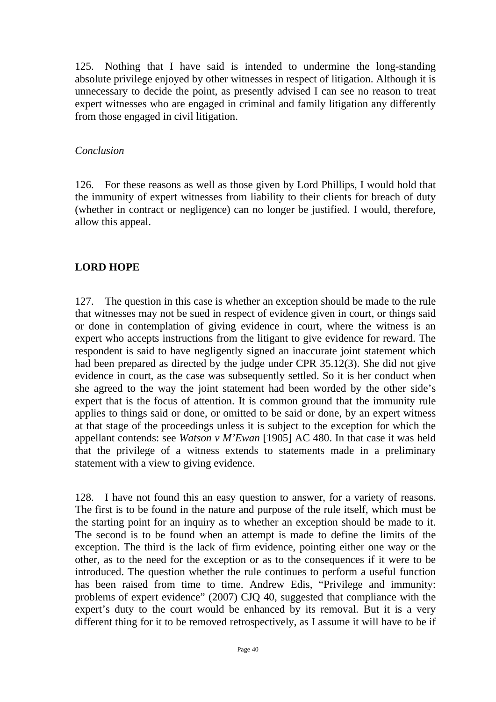125. Nothing that I have said is intended to undermine the long-standing absolute privilege enjoyed by other witnesses in respect of litigation. Although it is unnecessary to decide the point, as presently advised I can see no reason to treat expert witnesses who are engaged in criminal and family litigation any differently from those engaged in civil litigation.

#### *Conclusion*

126. For these reasons as well as those given by Lord Phillips, I would hold that the immunity of expert witnesses from liability to their clients for breach of duty (whether in contract or negligence) can no longer be justified. I would, therefore, allow this appeal.

## **LORD HOPE**

127. The question in this case is whether an exception should be made to the rule that witnesses may not be sued in respect of evidence given in court, or things said or done in contemplation of giving evidence in court, where the witness is an expert who accepts instructions from the litigant to give evidence for reward. The respondent is said to have negligently signed an inaccurate joint statement which had been prepared as directed by the judge under CPR 35.12(3). She did not give evidence in court, as the case was subsequently settled. So it is her conduct when she agreed to the way the joint statement had been worded by the other side's expert that is the focus of attention. It is common ground that the immunity rule applies to things said or done, or omitted to be said or done, by an expert witness at that stage of the proceedings unless it is subject to the exception for which the appellant contends: see *Watson v M'Ewan* [1905] AC 480. In that case it was held that the privilege of a witness extends to statements made in a preliminary statement with a view to giving evidence.

128. I have not found this an easy question to answer, for a variety of reasons. The first is to be found in the nature and purpose of the rule itself, which must be the starting point for an inquiry as to whether an exception should be made to it. The second is to be found when an attempt is made to define the limits of the exception. The third is the lack of firm evidence, pointing either one way or the other, as to the need for the exception or as to the consequences if it were to be introduced. The question whether the rule continues to perform a useful function has been raised from time to time. Andrew Edis, "Privilege and immunity: problems of expert evidence" (2007) CJQ 40, suggested that compliance with the expert's duty to the court would be enhanced by its removal. But it is a very different thing for it to be removed retrospectively, as I assume it will have to be if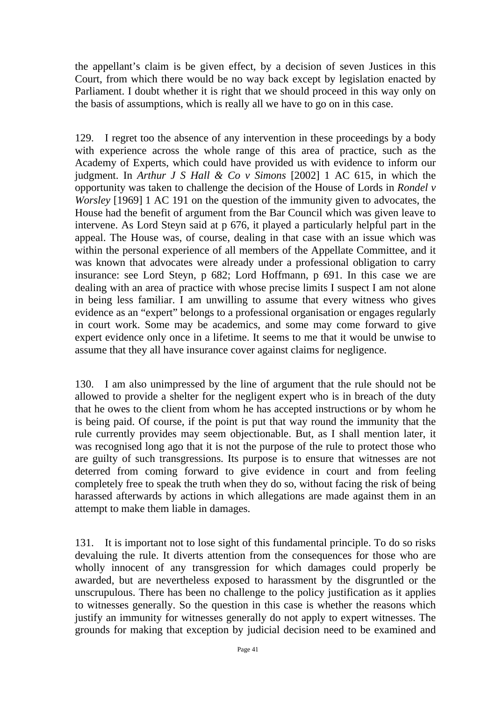the appellant's claim is be given effect, by a decision of seven Justices in this Court, from which there would be no way back except by legislation enacted by Parliament. I doubt whether it is right that we should proceed in this way only on the basis of assumptions, which is really all we have to go on in this case.

129. I regret too the absence of any intervention in these proceedings by a body with experience across the whole range of this area of practice, such as the Academy of Experts, which could have provided us with evidence to inform our judgment. In *Arthur J S Hall & Co v Simons* [2002] 1 AC 615, in which the opportunity was taken to challenge the decision of the House of Lords in *Rondel v Worsley* [1969] 1 AC 191 on the question of the immunity given to advocates, the House had the benefit of argument from the Bar Council which was given leave to intervene. As Lord Steyn said at p 676, it played a particularly helpful part in the appeal. The House was, of course, dealing in that case with an issue which was within the personal experience of all members of the Appellate Committee, and it was known that advocates were already under a professional obligation to carry insurance: see Lord Steyn, p 682; Lord Hoffmann, p 691. In this case we are dealing with an area of practice with whose precise limits I suspect I am not alone in being less familiar. I am unwilling to assume that every witness who gives evidence as an "expert" belongs to a professional organisation or engages regularly in court work. Some may be academics, and some may come forward to give expert evidence only once in a lifetime. It seems to me that it would be unwise to assume that they all have insurance cover against claims for negligence.

130. I am also unimpressed by the line of argument that the rule should not be allowed to provide a shelter for the negligent expert who is in breach of the duty that he owes to the client from whom he has accepted instructions or by whom he is being paid. Of course, if the point is put that way round the immunity that the rule currently provides may seem objectionable. But, as I shall mention later, it was recognised long ago that it is not the purpose of the rule to protect those who are guilty of such transgressions. Its purpose is to ensure that witnesses are not deterred from coming forward to give evidence in court and from feeling completely free to speak the truth when they do so, without facing the risk of being harassed afterwards by actions in which allegations are made against them in an attempt to make them liable in damages.

131. It is important not to lose sight of this fundamental principle. To do so risks devaluing the rule. It diverts attention from the consequences for those who are wholly innocent of any transgression for which damages could properly be awarded, but are nevertheless exposed to harassment by the disgruntled or the unscrupulous. There has been no challenge to the policy justification as it applies to witnesses generally. So the question in this case is whether the reasons which justify an immunity for witnesses generally do not apply to expert witnesses. The grounds for making that exception by judicial decision need to be examined and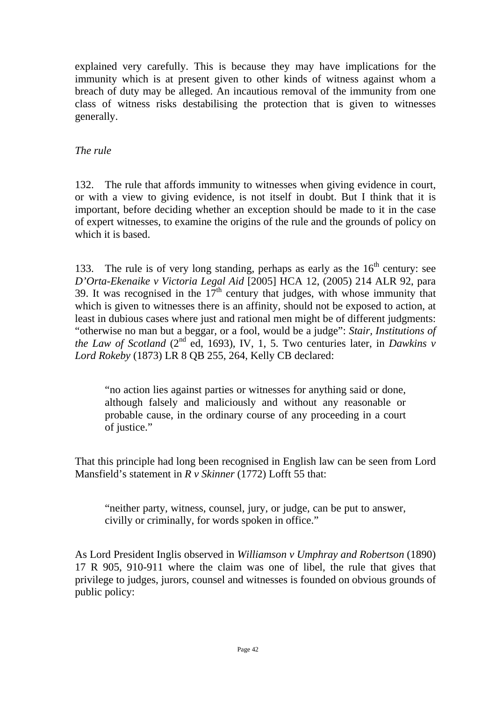explained very carefully. This is because they may have implications for the immunity which is at present given to other kinds of witness against whom a breach of duty may be alleged. An incautious removal of the immunity from one class of witness risks destabilising the protection that is given to witnesses generally.

## *The rule*

132. The rule that affords immunity to witnesses when giving evidence in court, or with a view to giving evidence, is not itself in doubt. But I think that it is important, before deciding whether an exception should be made to it in the case of expert witnesses, to examine the origins of the rule and the grounds of policy on which it is based.

133. The rule is of very long standing, perhaps as early as the  $16<sup>th</sup>$  century: see *D'Orta-Ekenaike v Victoria Legal Aid* [2005] HCA 12, (2005) 214 ALR 92, para 39. It was recognised in the  $17<sup>th</sup>$  century that judges, with whose immunity that which is given to witnesses there is an affinity, should not be exposed to action, at least in dubious cases where just and rational men might be of different judgments: "otherwise no man but a beggar, or a fool, would be a judge": *Stair, Institutions of the Law of Scotland* ( $2<sup>nd</sup>$  ed, 1693), IV, 1, 5. Two centuries later, in *Dawkins v Lord Rokeby* (1873) LR 8 QB 255, 264, Kelly CB declared:

"no action lies against parties or witnesses for anything said or done, although falsely and maliciously and without any reasonable or probable cause, in the ordinary course of any proceeding in a court of justice."

That this principle had long been recognised in English law can be seen from Lord Mansfield's statement in *R v Skinner* (1772) Lofft 55 that:

"neither party, witness, counsel, jury, or judge, can be put to answer, civilly or criminally, for words spoken in office."

As Lord President Inglis observed in *Williamson v Umphray and Robertson* (1890) 17 R 905, 910-911 where the claim was one of libel, the rule that gives that privilege to judges, jurors, counsel and witnesses is founded on obvious grounds of public policy: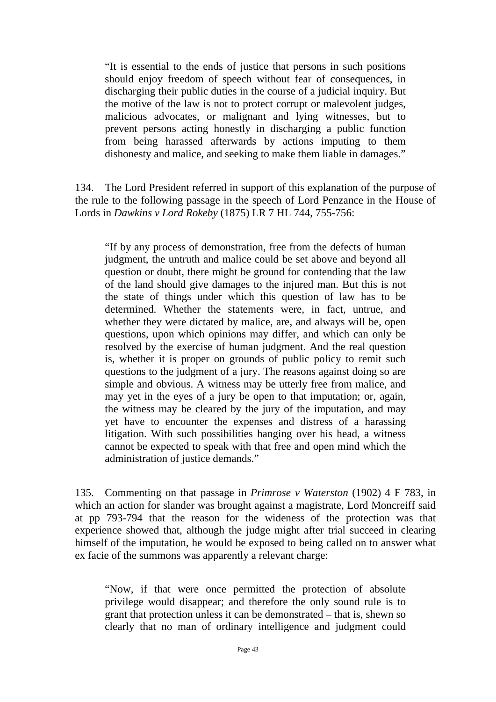"It is essential to the ends of justice that persons in such positions should enjoy freedom of speech without fear of consequences, in discharging their public duties in the course of a judicial inquiry. But the motive of the law is not to protect corrupt or malevolent judges, malicious advocates, or malignant and lying witnesses, but to prevent persons acting honestly in discharging a public function from being harassed afterwards by actions imputing to them dishonesty and malice, and seeking to make them liable in damages."

134. The Lord President referred in support of this explanation of the purpose of the rule to the following passage in the speech of Lord Penzance in the House of Lords in *Dawkins v Lord Rokeby* (1875) LR 7 HL 744, 755-756:

"If by any process of demonstration, free from the defects of human judgment, the untruth and malice could be set above and beyond all question or doubt, there might be ground for contending that the law of the land should give damages to the injured man. But this is not the state of things under which this question of law has to be determined. Whether the statements were, in fact, untrue, and whether they were dictated by malice, are, and always will be, open questions, upon which opinions may differ, and which can only be resolved by the exercise of human judgment. And the real question is, whether it is proper on grounds of public policy to remit such questions to the judgment of a jury. The reasons against doing so are simple and obvious. A witness may be utterly free from malice, and may yet in the eyes of a jury be open to that imputation; or, again, the witness may be cleared by the jury of the imputation, and may yet have to encounter the expenses and distress of a harassing litigation. With such possibilities hanging over his head, a witness cannot be expected to speak with that free and open mind which the administration of justice demands."

135. Commenting on that passage in *Primrose v Waterston* (1902) 4 F 783, in which an action for slander was brought against a magistrate, Lord Moncreiff said at pp 793-794 that the reason for the wideness of the protection was that experience showed that, although the judge might after trial succeed in clearing himself of the imputation, he would be exposed to being called on to answer what ex facie of the summons was apparently a relevant charge:

"Now, if that were once permitted the protection of absolute privilege would disappear; and therefore the only sound rule is to grant that protection unless it can be demonstrated – that is, shewn so clearly that no man of ordinary intelligence and judgment could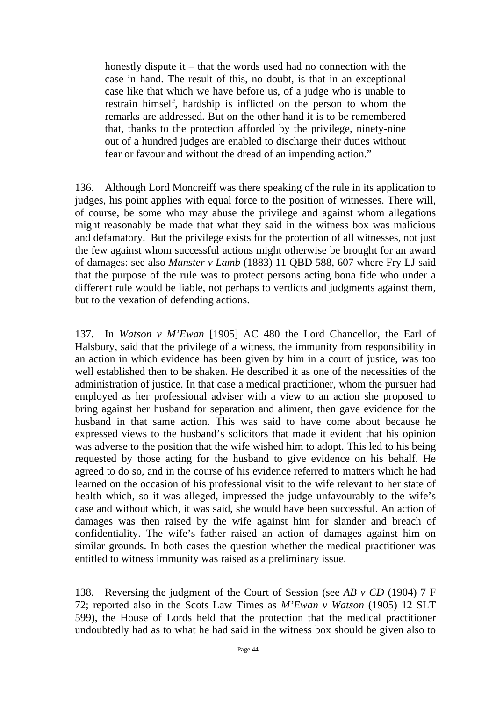honestly dispute it – that the words used had no connection with the case in hand. The result of this, no doubt, is that in an exceptional case like that which we have before us, of a judge who is unable to restrain himself, hardship is inflicted on the person to whom the remarks are addressed. But on the other hand it is to be remembered that, thanks to the protection afforded by the privilege, ninety-nine out of a hundred judges are enabled to discharge their duties without fear or favour and without the dread of an impending action."

136. Although Lord Moncreiff was there speaking of the rule in its application to judges, his point applies with equal force to the position of witnesses. There will, of course, be some who may abuse the privilege and against whom allegations might reasonably be made that what they said in the witness box was malicious and defamatory. But the privilege exists for the protection of all witnesses, not just the few against whom successful actions might otherwise be brought for an award of damages: see also *Munster v Lamb* (1883) 11 QBD 588, 607 where Fry LJ said that the purpose of the rule was to protect persons acting bona fide who under a different rule would be liable, not perhaps to verdicts and judgments against them, but to the vexation of defending actions.

137. In *Watson v M'Ewan* [1905] AC 480 the Lord Chancellor, the Earl of Halsbury, said that the privilege of a witness, the immunity from responsibility in an action in which evidence has been given by him in a court of justice, was too well established then to be shaken. He described it as one of the necessities of the administration of justice. In that case a medical practitioner, whom the pursuer had employed as her professional adviser with a view to an action she proposed to bring against her husband for separation and aliment, then gave evidence for the husband in that same action. This was said to have come about because he expressed views to the husband's solicitors that made it evident that his opinion was adverse to the position that the wife wished him to adopt. This led to his being requested by those acting for the husband to give evidence on his behalf. He agreed to do so, and in the course of his evidence referred to matters which he had learned on the occasion of his professional visit to the wife relevant to her state of health which, so it was alleged, impressed the judge unfavourably to the wife's case and without which, it was said, she would have been successful. An action of damages was then raised by the wife against him for slander and breach of confidentiality. The wife's father raised an action of damages against him on similar grounds. In both cases the question whether the medical practitioner was entitled to witness immunity was raised as a preliminary issue.

138. Reversing the judgment of the Court of Session (see *AB v CD* (1904) 7 F 72; reported also in the Scots Law Times as *M'Ewan v Watson* (1905) 12 SLT 599), the House of Lords held that the protection that the medical practitioner undoubtedly had as to what he had said in the witness box should be given also to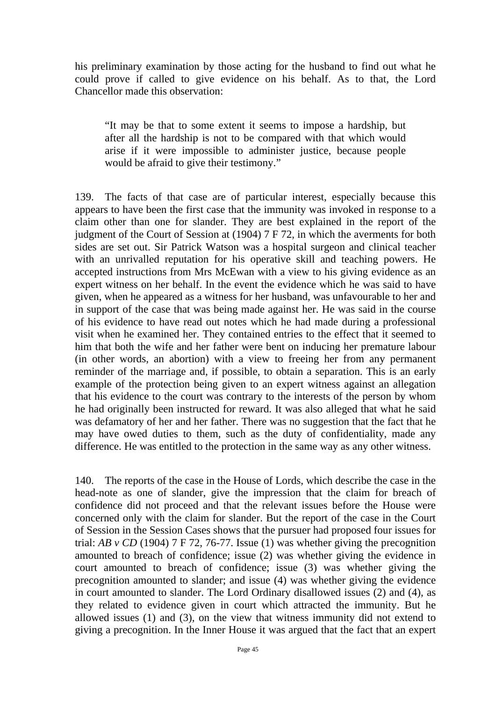his preliminary examination by those acting for the husband to find out what he could prove if called to give evidence on his behalf. As to that, the Lord Chancellor made this observation:

"It may be that to some extent it seems to impose a hardship, but after all the hardship is not to be compared with that which would arise if it were impossible to administer justice, because people would be afraid to give their testimony."

139. The facts of that case are of particular interest, especially because this appears to have been the first case that the immunity was invoked in response to a claim other than one for slander. They are best explained in the report of the judgment of the Court of Session at (1904) 7 F 72, in which the averments for both sides are set out. Sir Patrick Watson was a hospital surgeon and clinical teacher with an unrivalled reputation for his operative skill and teaching powers. He accepted instructions from Mrs McEwan with a view to his giving evidence as an expert witness on her behalf. In the event the evidence which he was said to have given, when he appeared as a witness for her husband, was unfavourable to her and in support of the case that was being made against her. He was said in the course of his evidence to have read out notes which he had made during a professional visit when he examined her. They contained entries to the effect that it seemed to him that both the wife and her father were bent on inducing her premature labour (in other words, an abortion) with a view to freeing her from any permanent reminder of the marriage and, if possible, to obtain a separation. This is an early example of the protection being given to an expert witness against an allegation that his evidence to the court was contrary to the interests of the person by whom he had originally been instructed for reward. It was also alleged that what he said was defamatory of her and her father. There was no suggestion that the fact that he may have owed duties to them, such as the duty of confidentiality, made any difference. He was entitled to the protection in the same way as any other witness.

140. The reports of the case in the House of Lords, which describe the case in the head-note as one of slander, give the impression that the claim for breach of confidence did not proceed and that the relevant issues before the House were concerned only with the claim for slander. But the report of the case in the Court of Session in the Session Cases shows that the pursuer had proposed four issues for trial:  $AB$  v CD (1904) 7 F 72, 76-77. Issue (1) was whether giving the precognition amounted to breach of confidence; issue (2) was whether giving the evidence in court amounted to breach of confidence; issue (3) was whether giving the precognition amounted to slander; and issue (4) was whether giving the evidence in court amounted to slander. The Lord Ordinary disallowed issues (2) and (4), as they related to evidence given in court which attracted the immunity. But he allowed issues  $(1)$  and  $(3)$ , on the view that witness immunity did not extend to giving a precognition. In the Inner House it was argued that the fact that an expert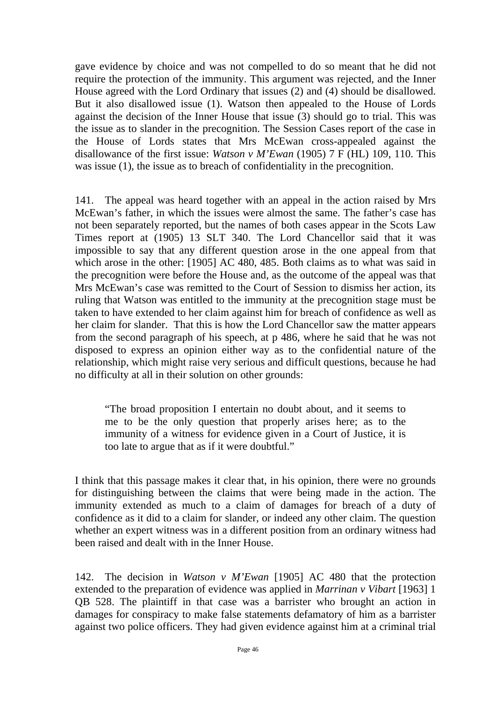gave evidence by choice and was not compelled to do so meant that he did not require the protection of the immunity. This argument was rejected, and the Inner House agreed with the Lord Ordinary that issues (2) and (4) should be disallowed. But it also disallowed issue (1). Watson then appealed to the House of Lords against the decision of the Inner House that issue (3) should go to trial. This was the issue as to slander in the precognition. The Session Cases report of the case in the House of Lords states that Mrs McEwan cross-appealed against the disallowance of the first issue: *Watson v M'Ewan* (1905) 7 F (HL) 109, 110. This was issue (1), the issue as to breach of confidentiality in the precognition.

141. The appeal was heard together with an appeal in the action raised by Mrs McEwan's father, in which the issues were almost the same. The father's case has not been separately reported, but the names of both cases appear in the Scots Law Times report at (1905) 13 SLT 340. The Lord Chancellor said that it was impossible to say that any different question arose in the one appeal from that which arose in the other: [1905] AC 480, 485. Both claims as to what was said in the precognition were before the House and, as the outcome of the appeal was that Mrs McEwan's case was remitted to the Court of Session to dismiss her action, its ruling that Watson was entitled to the immunity at the precognition stage must be taken to have extended to her claim against him for breach of confidence as well as her claim for slander. That this is how the Lord Chancellor saw the matter appears from the second paragraph of his speech, at p 486, where he said that he was not disposed to express an opinion either way as to the confidential nature of the relationship, which might raise very serious and difficult questions, because he had no difficulty at all in their solution on other grounds:

"The broad proposition I entertain no doubt about, and it seems to me to be the only question that properly arises here; as to the immunity of a witness for evidence given in a Court of Justice, it is too late to argue that as if it were doubtful."

I think that this passage makes it clear that, in his opinion, there were no grounds for distinguishing between the claims that were being made in the action. The immunity extended as much to a claim of damages for breach of a duty of confidence as it did to a claim for slander, or indeed any other claim. The question whether an expert witness was in a different position from an ordinary witness had been raised and dealt with in the Inner House.

142. The decision in *Watson v M'Ewan* [1905] AC 480 that the protection extended to the preparation of evidence was applied in *Marrinan v Vibart* [1963] 1 QB 528. The plaintiff in that case was a barrister who brought an action in damages for conspiracy to make false statements defamatory of him as a barrister against two police officers. They had given evidence against him at a criminal trial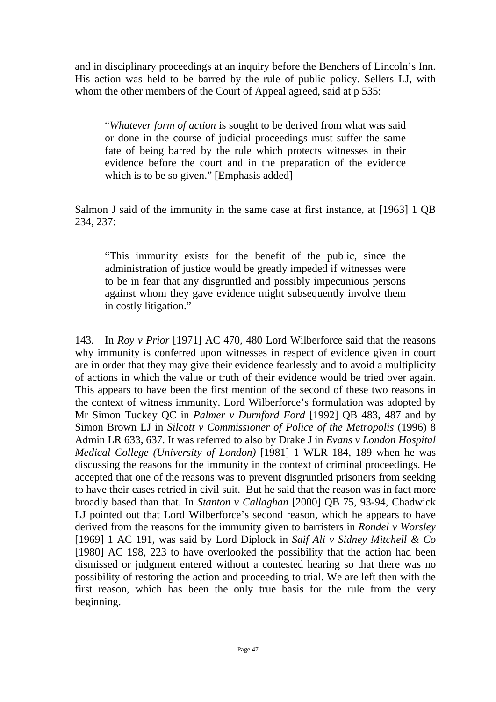and in disciplinary proceedings at an inquiry before the Benchers of Lincoln's Inn. His action was held to be barred by the rule of public policy. Sellers LJ, with whom the other members of the Court of Appeal agreed, said at p 535:

"*Whatever form of action* is sought to be derived from what was said or done in the course of judicial proceedings must suffer the same fate of being barred by the rule which protects witnesses in their evidence before the court and in the preparation of the evidence which is to be so given." [Emphasis added]

Salmon J said of the immunity in the same case at first instance, at [1963] 1 QB 234, 237:

"This immunity exists for the benefit of the public, since the administration of justice would be greatly impeded if witnesses were to be in fear that any disgruntled and possibly impecunious persons against whom they gave evidence might subsequently involve them in costly litigation."

143. In *Roy v Prior* [1971] AC 470, 480 Lord Wilberforce said that the reasons why immunity is conferred upon witnesses in respect of evidence given in court are in order that they may give their evidence fearlessly and to avoid a multiplicity of actions in which the value or truth of their evidence would be tried over again. This appears to have been the first mention of the second of these two reasons in the context of witness immunity. Lord Wilberforce's formulation was adopted by Mr Simon Tuckey QC in *Palmer v Durnford Ford* [1992] QB 483, 487 and by Simon Brown LJ in *Silcott v Commissioner of Police of the Metropolis* (1996) 8 Admin LR 633, 637. It was referred to also by Drake J in *Evans v London Hospital Medical College (University of London)* [1981] 1 WLR 184, 189 when he was discussing the reasons for the immunity in the context of criminal proceedings. He accepted that one of the reasons was to prevent disgruntled prisoners from seeking to have their cases retried in civil suit. But he said that the reason was in fact more broadly based than that. In *Stanton v Callaghan* [2000] QB 75, 93-94, Chadwick LJ pointed out that Lord Wilberforce's second reason, which he appears to have derived from the reasons for the immunity given to barristers in *Rondel v Worsley*  [1969] 1 AC 191, was said by Lord Diplock in *Saif Ali v Sidney Mitchell & Co*  [1980] AC 198, 223 to have overlooked the possibility that the action had been dismissed or judgment entered without a contested hearing so that there was no possibility of restoring the action and proceeding to trial. We are left then with the first reason, which has been the only true basis for the rule from the very beginning.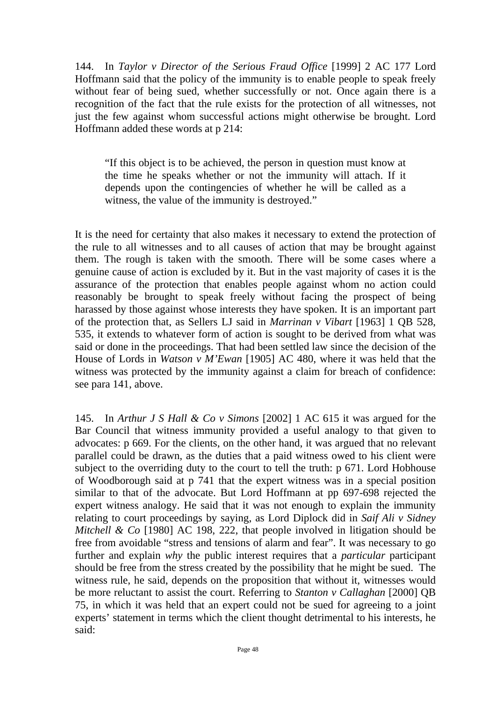144. In *Taylor v Director of the Serious Fraud Office* [1999] 2 AC 177 Lord Hoffmann said that the policy of the immunity is to enable people to speak freely without fear of being sued, whether successfully or not. Once again there is a recognition of the fact that the rule exists for the protection of all witnesses, not just the few against whom successful actions might otherwise be brought. Lord Hoffmann added these words at p 214:

"If this object is to be achieved, the person in question must know at the time he speaks whether or not the immunity will attach. If it depends upon the contingencies of whether he will be called as a witness, the value of the immunity is destroyed."

It is the need for certainty that also makes it necessary to extend the protection of the rule to all witnesses and to all causes of action that may be brought against them. The rough is taken with the smooth. There will be some cases where a genuine cause of action is excluded by it. But in the vast majority of cases it is the assurance of the protection that enables people against whom no action could reasonably be brought to speak freely without facing the prospect of being harassed by those against whose interests they have spoken. It is an important part of the protection that, as Sellers LJ said in *Marrinan v Vibart* [1963] 1 QB 528, 535, it extends to whatever form of action is sought to be derived from what was said or done in the proceedings. That had been settled law since the decision of the House of Lords in *Watson v M'Ewan* [1905] AC 480, where it was held that the witness was protected by the immunity against a claim for breach of confidence: see para 141, above.

145. In *Arthur J S Hall & Co v Simons* [2002] 1 AC 615 it was argued for the Bar Council that witness immunity provided a useful analogy to that given to advocates: p 669. For the clients, on the other hand, it was argued that no relevant parallel could be drawn, as the duties that a paid witness owed to his client were subject to the overriding duty to the court to tell the truth: p 671. Lord Hobhouse of Woodborough said at p 741 that the expert witness was in a special position similar to that of the advocate. But Lord Hoffmann at pp 697-698 rejected the expert witness analogy. He said that it was not enough to explain the immunity relating to court proceedings by saying, as Lord Diplock did in *Saif Ali v Sidney Mitchell & Co* [1980] AC 198, 222, that people involved in litigation should be free from avoidable "stress and tensions of alarm and fear". It was necessary to go further and explain *why* the public interest requires that a *particular* participant should be free from the stress created by the possibility that he might be sued. The witness rule, he said, depends on the proposition that without it, witnesses would be more reluctant to assist the court. Referring to *Stanton v Callaghan* [2000] QB 75, in which it was held that an expert could not be sued for agreeing to a joint experts' statement in terms which the client thought detrimental to his interests, he said: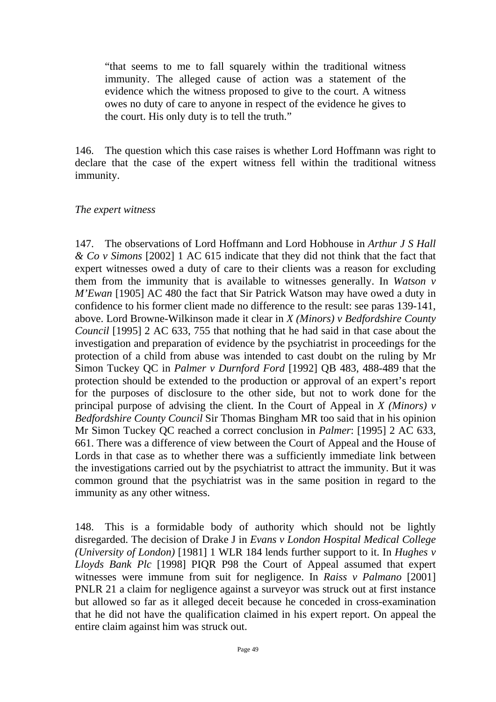"that seems to me to fall squarely within the traditional witness immunity. The alleged cause of action was a statement of the evidence which the witness proposed to give to the court. A witness owes no duty of care to anyone in respect of the evidence he gives to the court. His only duty is to tell the truth."

146. The question which this case raises is whether Lord Hoffmann was right to declare that the case of the expert witness fell within the traditional witness immunity.

#### *The expert witness*

147. The observations of Lord Hoffmann and Lord Hobhouse in *Arthur J S Hall & Co v Simons* [2002] 1 AC 615 indicate that they did not think that the fact that expert witnesses owed a duty of care to their clients was a reason for excluding them from the immunity that is available to witnesses generally. In *Watson v M'Ewan* [1905] AC 480 the fact that Sir Patrick Watson may have owed a duty in confidence to his former client made no difference to the result: see paras 139-141, above. Lord Browne-Wilkinson made it clear in *X (Minors) v Bedfordshire County Council* [1995] 2 AC 633, 755 that nothing that he had said in that case about the investigation and preparation of evidence by the psychiatrist in proceedings for the protection of a child from abuse was intended to cast doubt on the ruling by Mr Simon Tuckey QC in *Palmer v Durnford Ford* [1992] QB 483, 488-489 that the protection should be extended to the production or approval of an expert's report for the purposes of disclosure to the other side, but not to work done for the principal purpose of advising the client. In the Court of Appeal in *X (Minors) v Bedfordshire County Council* Sir Thomas Bingham MR too said that in his opinion Mr Simon Tuckey QC reached a correct conclusion in *Palmer*: [1995] 2 AC 633, 661. There was a difference of view between the Court of Appeal and the House of Lords in that case as to whether there was a sufficiently immediate link between the investigations carried out by the psychiatrist to attract the immunity. But it was common ground that the psychiatrist was in the same position in regard to the immunity as any other witness.

148. This is a formidable body of authority which should not be lightly disregarded. The decision of Drake J in *Evans v London Hospital Medical College (University of London)* [1981] 1 WLR 184 lends further support to it. In *Hughes v Lloyds Bank Plc* [1998] PIQR P98 the Court of Appeal assumed that expert witnesses were immune from suit for negligence. In *Raiss v Palmano* [2001] PNLR 21 a claim for negligence against a surveyor was struck out at first instance but allowed so far as it alleged deceit because he conceded in cross-examination that he did not have the qualification claimed in his expert report. On appeal the entire claim against him was struck out.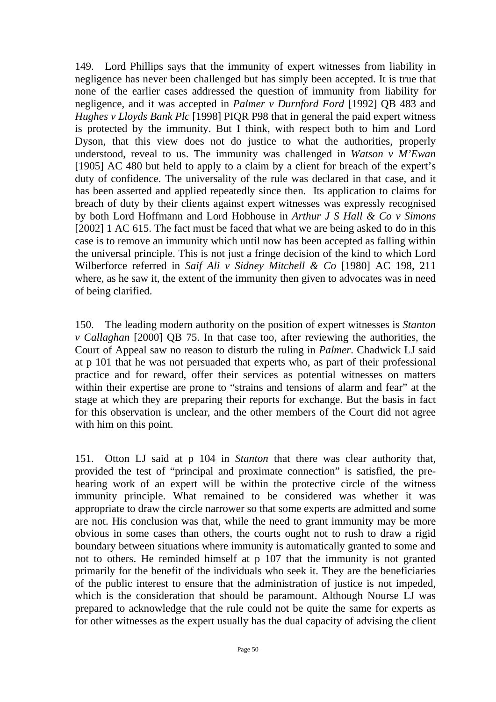149. Lord Phillips says that the immunity of expert witnesses from liability in negligence has never been challenged but has simply been accepted. It is true that none of the earlier cases addressed the question of immunity from liability for negligence, and it was accepted in *Palmer v Durnford Ford* [1992] QB 483 and *Hughes v Lloyds Bank Plc* [1998] PIQR P98 that in general the paid expert witness is protected by the immunity. But I think, with respect both to him and Lord Dyson, that this view does not do justice to what the authorities, properly understood, reveal to us. The immunity was challenged in *Watson v M'Ewan* [1905] AC 480 but held to apply to a claim by a client for breach of the expert's duty of confidence. The universality of the rule was declared in that case, and it has been asserted and applied repeatedly since then. Its application to claims for breach of duty by their clients against expert witnesses was expressly recognised by both Lord Hoffmann and Lord Hobhouse in *Arthur J S Hall & Co v Simons*  [2002] 1 AC 615. The fact must be faced that what we are being asked to do in this case is to remove an immunity which until now has been accepted as falling within the universal principle. This is not just a fringe decision of the kind to which Lord Wilberforce referred in *Saif Ali v Sidney Mitchell & Co* [1980] AC 198, 211 where, as he saw it, the extent of the immunity then given to advocates was in need of being clarified.

150. The leading modern authority on the position of expert witnesses is *Stanton v Callaghan* [2000] QB 75. In that case too, after reviewing the authorities, the Court of Appeal saw no reason to disturb the ruling in *Palmer*. Chadwick LJ said at p 101 that he was not persuaded that experts who, as part of their professional practice and for reward, offer their services as potential witnesses on matters within their expertise are prone to "strains and tensions of alarm and fear" at the stage at which they are preparing their reports for exchange. But the basis in fact for this observation is unclear, and the other members of the Court did not agree with him on this point.

151. Otton LJ said at p 104 in *Stanton* that there was clear authority that, provided the test of "principal and proximate connection" is satisfied, the prehearing work of an expert will be within the protective circle of the witness immunity principle. What remained to be considered was whether it was appropriate to draw the circle narrower so that some experts are admitted and some are not. His conclusion was that, while the need to grant immunity may be more obvious in some cases than others, the courts ought not to rush to draw a rigid boundary between situations where immunity is automatically granted to some and not to others. He reminded himself at p 107 that the immunity is not granted primarily for the benefit of the individuals who seek it. They are the beneficiaries of the public interest to ensure that the administration of justice is not impeded, which is the consideration that should be paramount. Although Nourse LJ was prepared to acknowledge that the rule could not be quite the same for experts as for other witnesses as the expert usually has the dual capacity of advising the client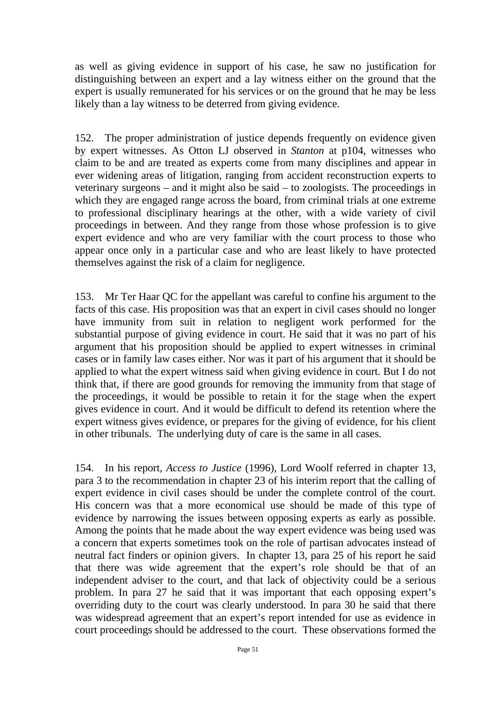as well as giving evidence in support of his case, he saw no justification for distinguishing between an expert and a lay witness either on the ground that the expert is usually remunerated for his services or on the ground that he may be less likely than a lay witness to be deterred from giving evidence.

152. The proper administration of justice depends frequently on evidence given by expert witnesses. As Otton LJ observed in *Stanton* at p104, witnesses who claim to be and are treated as experts come from many disciplines and appear in ever widening areas of litigation, ranging from accident reconstruction experts to veterinary surgeons – and it might also be said – to zoologists. The proceedings in which they are engaged range across the board, from criminal trials at one extreme to professional disciplinary hearings at the other, with a wide variety of civil proceedings in between. And they range from those whose profession is to give expert evidence and who are very familiar with the court process to those who appear once only in a particular case and who are least likely to have protected themselves against the risk of a claim for negligence.

153. Mr Ter Haar QC for the appellant was careful to confine his argument to the facts of this case. His proposition was that an expert in civil cases should no longer have immunity from suit in relation to negligent work performed for the substantial purpose of giving evidence in court. He said that it was no part of his argument that his proposition should be applied to expert witnesses in criminal cases or in family law cases either. Nor was it part of his argument that it should be applied to what the expert witness said when giving evidence in court. But I do not think that, if there are good grounds for removing the immunity from that stage of the proceedings, it would be possible to retain it for the stage when the expert gives evidence in court. And it would be difficult to defend its retention where the expert witness gives evidence, or prepares for the giving of evidence, for his client in other tribunals. The underlying duty of care is the same in all cases.

154. In his report, *Access to Justice* (1996), Lord Woolf referred in chapter 13, para 3 to the recommendation in chapter 23 of his interim report that the calling of expert evidence in civil cases should be under the complete control of the court. His concern was that a more economical use should be made of this type of evidence by narrowing the issues between opposing experts as early as possible. Among the points that he made about the way expert evidence was being used was a concern that experts sometimes took on the role of partisan advocates instead of neutral fact finders or opinion givers. In chapter 13, para 25 of his report he said that there was wide agreement that the expert's role should be that of an independent adviser to the court, and that lack of objectivity could be a serious problem. In para 27 he said that it was important that each opposing expert's overriding duty to the court was clearly understood. In para 30 he said that there was widespread agreement that an expert's report intended for use as evidence in court proceedings should be addressed to the court. These observations formed the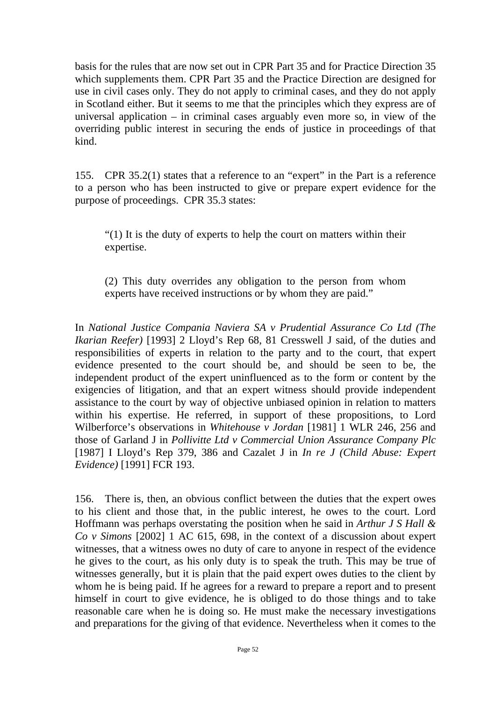basis for the rules that are now set out in CPR Part 35 and for Practice Direction 35 which supplements them. CPR Part 35 and the Practice Direction are designed for use in civil cases only. They do not apply to criminal cases, and they do not apply in Scotland either. But it seems to me that the principles which they express are of universal application – in criminal cases arguably even more so, in view of the overriding public interest in securing the ends of justice in proceedings of that kind.

155. CPR 35.2(1) states that a reference to an "expert" in the Part is a reference to a person who has been instructed to give or prepare expert evidence for the purpose of proceedings. CPR 35.3 states:

"(1) It is the duty of experts to help the court on matters within their expertise.

(2) This duty overrides any obligation to the person from whom experts have received instructions or by whom they are paid."

In *National Justice Compania Naviera SA v Prudential Assurance Co Ltd (The Ikarian Reefer)* [1993] 2 Lloyd's Rep 68, 81 Cresswell J said, of the duties and responsibilities of experts in relation to the party and to the court, that expert evidence presented to the court should be, and should be seen to be, the independent product of the expert uninfluenced as to the form or content by the exigencies of litigation, and that an expert witness should provide independent assistance to the court by way of objective unbiased opinion in relation to matters within his expertise. He referred, in support of these propositions, to Lord Wilberforce's observations in *Whitehouse v Jordan* [1981] 1 WLR 246, 256 and those of Garland J in *Pollivitte Ltd v Commercial Union Assurance Company Plc*  [1987] I Lloyd's Rep 379, 386 and Cazalet J in *In re J (Child Abuse: Expert Evidence)* [1991] FCR 193.

156. There is, then, an obvious conflict between the duties that the expert owes to his client and those that, in the public interest, he owes to the court. Lord Hoffmann was perhaps overstating the position when he said in *Arthur J S Hall & Co v Simons* [2002] 1 AC 615, 698, in the context of a discussion about expert witnesses, that a witness owes no duty of care to anyone in respect of the evidence he gives to the court, as his only duty is to speak the truth. This may be true of witnesses generally, but it is plain that the paid expert owes duties to the client by whom he is being paid. If he agrees for a reward to prepare a report and to present himself in court to give evidence, he is obliged to do those things and to take reasonable care when he is doing so. He must make the necessary investigations and preparations for the giving of that evidence. Nevertheless when it comes to the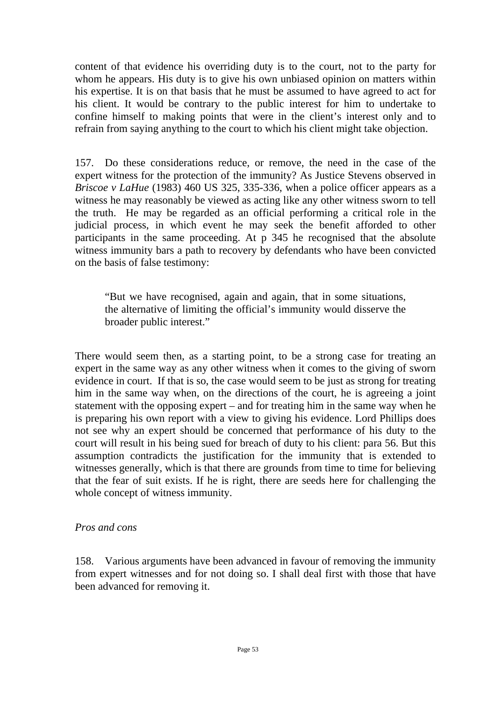content of that evidence his overriding duty is to the court, not to the party for whom he appears. His duty is to give his own unbiased opinion on matters within his expertise. It is on that basis that he must be assumed to have agreed to act for his client. It would be contrary to the public interest for him to undertake to confine himself to making points that were in the client's interest only and to refrain from saying anything to the court to which his client might take objection.

157. Do these considerations reduce, or remove, the need in the case of the expert witness for the protection of the immunity? As Justice Stevens observed in *Briscoe v LaHue* (1983) 460 US 325, 335-336, when a police officer appears as a witness he may reasonably be viewed as acting like any other witness sworn to tell the truth. He may be regarded as an official performing a critical role in the judicial process, in which event he may seek the benefit afforded to other participants in the same proceeding. At p 345 he recognised that the absolute witness immunity bars a path to recovery by defendants who have been convicted on the basis of false testimony:

"But we have recognised, again and again, that in some situations, the alternative of limiting the official's immunity would disserve the broader public interest."

There would seem then, as a starting point, to be a strong case for treating an expert in the same way as any other witness when it comes to the giving of sworn evidence in court. If that is so, the case would seem to be just as strong for treating him in the same way when, on the directions of the court, he is agreeing a joint statement with the opposing expert – and for treating him in the same way when he is preparing his own report with a view to giving his evidence. Lord Phillips does not see why an expert should be concerned that performance of his duty to the court will result in his being sued for breach of duty to his client: para 56. But this assumption contradicts the justification for the immunity that is extended to witnesses generally, which is that there are grounds from time to time for believing that the fear of suit exists. If he is right, there are seeds here for challenging the whole concept of witness immunity.

#### *Pros and cons*

158. Various arguments have been advanced in favour of removing the immunity from expert witnesses and for not doing so. I shall deal first with those that have been advanced for removing it.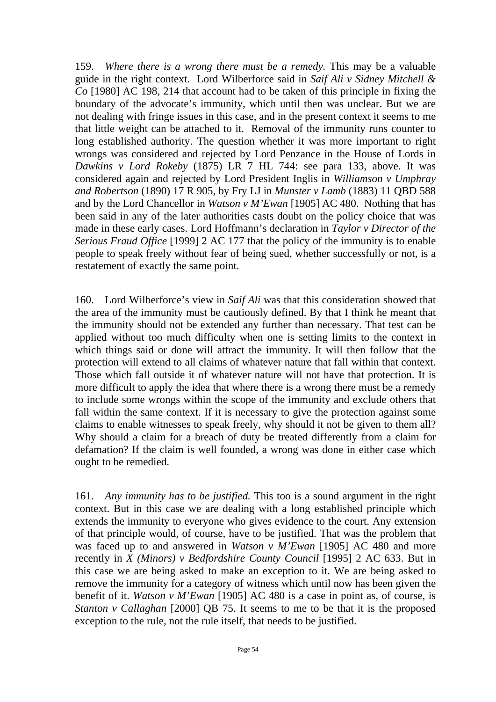159. *Where there is a wrong there must be a remedy.* This may be a valuable guide in the right context. Lord Wilberforce said in *Saif Ali v Sidney Mitchell & Co* [1980] AC 198, 214 that account had to be taken of this principle in fixing the boundary of the advocate's immunity, which until then was unclear. But we are not dealing with fringe issues in this case, and in the present context it seems to me that little weight can be attached to it. Removal of the immunity runs counter to long established authority. The question whether it was more important to right wrongs was considered and rejected by Lord Penzance in the House of Lords in *Dawkins v Lord Rokeby* (1875) LR 7 HL 744: see para 133, above. It was considered again and rejected by Lord President Inglis in *Williamson v Umphray and Robertson* (1890) 17 R 905, by Fry LJ in *Munster v Lamb* (1883) 11 QBD 588 and by the Lord Chancellor in *Watson v M'Ewan* [1905] AC 480. Nothing that has been said in any of the later authorities casts doubt on the policy choice that was made in these early cases. Lord Hoffmann's declaration in *Taylor v Director of the Serious Fraud Office* [1999] 2 AC 177 that the policy of the immunity is to enable people to speak freely without fear of being sued, whether successfully or not, is a restatement of exactly the same point.

160. Lord Wilberforce's view in *Saif Ali* was that this consideration showed that the area of the immunity must be cautiously defined. By that I think he meant that the immunity should not be extended any further than necessary. That test can be applied without too much difficulty when one is setting limits to the context in which things said or done will attract the immunity. It will then follow that the protection will extend to all claims of whatever nature that fall within that context. Those which fall outside it of whatever nature will not have that protection. It is more difficult to apply the idea that where there is a wrong there must be a remedy to include some wrongs within the scope of the immunity and exclude others that fall within the same context. If it is necessary to give the protection against some claims to enable witnesses to speak freely, why should it not be given to them all? Why should a claim for a breach of duty be treated differently from a claim for defamation? If the claim is well founded, a wrong was done in either case which ought to be remedied.

161. *Any immunity has to be justified.* This too is a sound argument in the right context. But in this case we are dealing with a long established principle which extends the immunity to everyone who gives evidence to the court. Any extension of that principle would, of course, have to be justified. That was the problem that was faced up to and answered in *Watson v M'Ewan* [1905] AC 480 and more recently in *X (Minors) v Bedfordshire County Council* [1995] 2 AC 633. But in this case we are being asked to make an exception to it. We are being asked to remove the immunity for a category of witness which until now has been given the benefit of it. *Watson v M'Ewan* [1905] AC 480 is a case in point as, of course, is *Stanton v Callaghan* [2000] QB 75. It seems to me to be that it is the proposed exception to the rule, not the rule itself, that needs to be justified.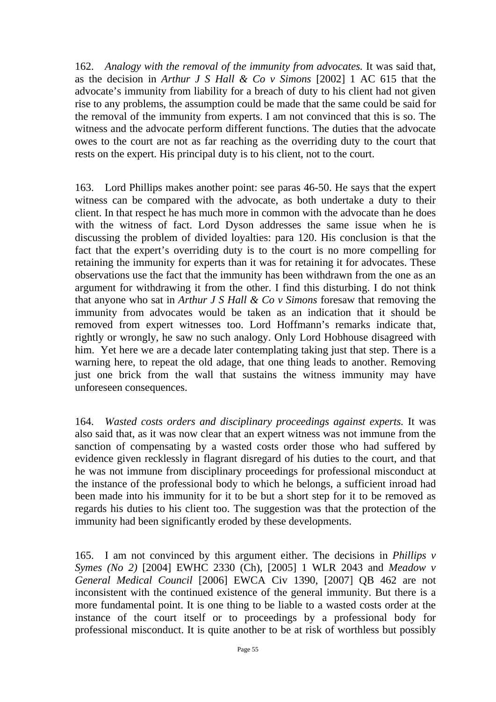162. *Analogy with the removal of the immunity from advocates.* It was said that, as the decision in *Arthur J S Hall & Co v Simons* [2002] 1 AC 615 that the advocate's immunity from liability for a breach of duty to his client had not given rise to any problems, the assumption could be made that the same could be said for the removal of the immunity from experts. I am not convinced that this is so. The witness and the advocate perform different functions. The duties that the advocate owes to the court are not as far reaching as the overriding duty to the court that rests on the expert. His principal duty is to his client, not to the court.

163. Lord Phillips makes another point: see paras 46-50. He says that the expert witness can be compared with the advocate, as both undertake a duty to their client. In that respect he has much more in common with the advocate than he does with the witness of fact. Lord Dyson addresses the same issue when he is discussing the problem of divided loyalties: para 120. His conclusion is that the fact that the expert's overriding duty is to the court is no more compelling for retaining the immunity for experts than it was for retaining it for advocates. These observations use the fact that the immunity has been withdrawn from the one as an argument for withdrawing it from the other. I find this disturbing. I do not think that anyone who sat in *Arthur J S Hall & Co v Simons* foresaw that removing the immunity from advocates would be taken as an indication that it should be removed from expert witnesses too. Lord Hoffmann's remarks indicate that, rightly or wrongly, he saw no such analogy. Only Lord Hobhouse disagreed with him. Yet here we are a decade later contemplating taking just that step. There is a warning here, to repeat the old adage, that one thing leads to another. Removing just one brick from the wall that sustains the witness immunity may have unforeseen consequences.

164. *Wasted costs orders and disciplinary proceedings against experts.* It was also said that, as it was now clear that an expert witness was not immune from the sanction of compensating by a wasted costs order those who had suffered by evidence given recklessly in flagrant disregard of his duties to the court, and that he was not immune from disciplinary proceedings for professional misconduct at the instance of the professional body to which he belongs, a sufficient inroad had been made into his immunity for it to be but a short step for it to be removed as regards his duties to his client too. The suggestion was that the protection of the immunity had been significantly eroded by these developments.

165. I am not convinced by this argument either. The decisions in *Phillips v Symes (No 2)* [2004] EWHC 2330 (Ch), [2005] 1 WLR 2043 and *Meadow v General Medical Council* [2006] EWCA Civ 1390, [2007] QB 462 are not inconsistent with the continued existence of the general immunity. But there is a more fundamental point. It is one thing to be liable to a wasted costs order at the instance of the court itself or to proceedings by a professional body for professional misconduct. It is quite another to be at risk of worthless but possibly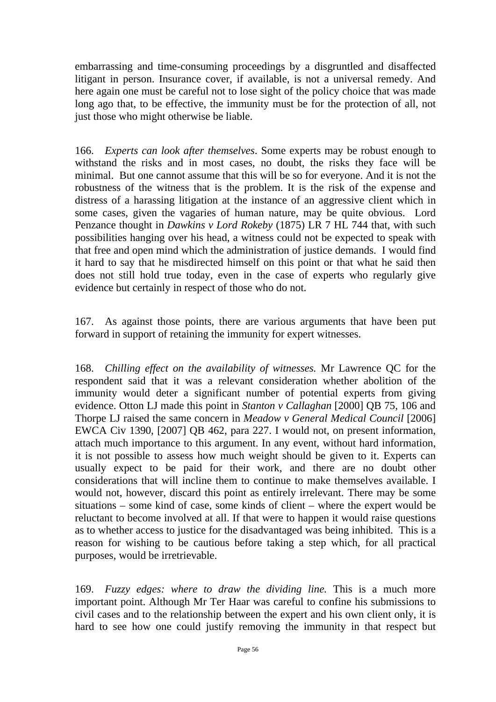embarrassing and time-consuming proceedings by a disgruntled and disaffected litigant in person. Insurance cover, if available, is not a universal remedy. And here again one must be careful not to lose sight of the policy choice that was made long ago that, to be effective, the immunity must be for the protection of all, not just those who might otherwise be liable.

166. *Experts can look after themselves*. Some experts may be robust enough to withstand the risks and in most cases, no doubt, the risks they face will be minimal. But one cannot assume that this will be so for everyone. And it is not the robustness of the witness that is the problem. It is the risk of the expense and distress of a harassing litigation at the instance of an aggressive client which in some cases, given the vagaries of human nature, may be quite obvious. Lord Penzance thought in *Dawkins v Lord Rokeby* (1875) LR 7 HL 744 that, with such possibilities hanging over his head, a witness could not be expected to speak with that free and open mind which the administration of justice demands. I would find it hard to say that he misdirected himself on this point or that what he said then does not still hold true today, even in the case of experts who regularly give evidence but certainly in respect of those who do not.

167. As against those points, there are various arguments that have been put forward in support of retaining the immunity for expert witnesses.

168. *Chilling effect on the availability of witnesses.* Mr Lawrence QC for the respondent said that it was a relevant consideration whether abolition of the immunity would deter a significant number of potential experts from giving evidence. Otton LJ made this point in *Stanton v Callaghan* [2000] QB 75, 106 and Thorpe LJ raised the same concern in *Meadow v General Medical Council* [2006] EWCA Civ 1390, [2007] QB 462, para 227. I would not, on present information, attach much importance to this argument. In any event, without hard information, it is not possible to assess how much weight should be given to it. Experts can usually expect to be paid for their work, and there are no doubt other considerations that will incline them to continue to make themselves available. I would not, however, discard this point as entirely irrelevant. There may be some situations – some kind of case, some kinds of client – where the expert would be reluctant to become involved at all. If that were to happen it would raise questions as to whether access to justice for the disadvantaged was being inhibited. This is a reason for wishing to be cautious before taking a step which, for all practical purposes, would be irretrievable.

169. *Fuzzy edges: where to draw the dividing line.* This is a much more important point. Although Mr Ter Haar was careful to confine his submissions to civil cases and to the relationship between the expert and his own client only, it is hard to see how one could justify removing the immunity in that respect but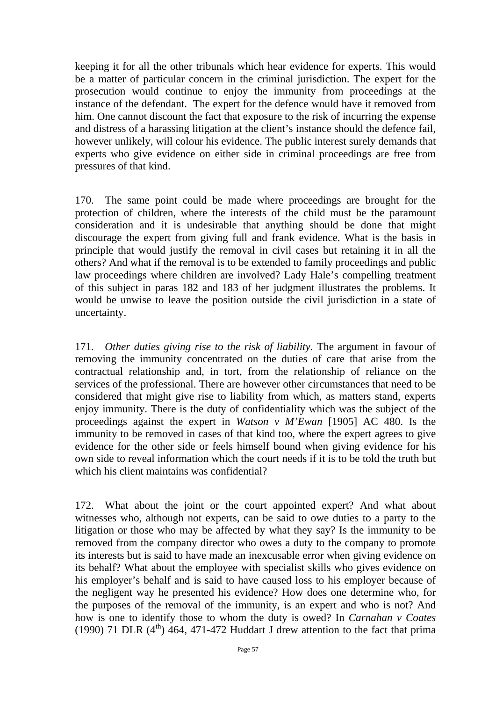keeping it for all the other tribunals which hear evidence for experts. This would be a matter of particular concern in the criminal jurisdiction. The expert for the prosecution would continue to enjoy the immunity from proceedings at the instance of the defendant. The expert for the defence would have it removed from him. One cannot discount the fact that exposure to the risk of incurring the expense and distress of a harassing litigation at the client's instance should the defence fail, however unlikely, will colour his evidence. The public interest surely demands that experts who give evidence on either side in criminal proceedings are free from pressures of that kind.

170. The same point could be made where proceedings are brought for the protection of children, where the interests of the child must be the paramount consideration and it is undesirable that anything should be done that might discourage the expert from giving full and frank evidence. What is the basis in principle that would justify the removal in civil cases but retaining it in all the others? And what if the removal is to be extended to family proceedings and public law proceedings where children are involved? Lady Hale's compelling treatment of this subject in paras 182 and 183 of her judgment illustrates the problems. It would be unwise to leave the position outside the civil jurisdiction in a state of uncertainty.

171. *Other duties giving rise to the risk of liability.* The argument in favour of removing the immunity concentrated on the duties of care that arise from the contractual relationship and, in tort, from the relationship of reliance on the services of the professional. There are however other circumstances that need to be considered that might give rise to liability from which, as matters stand, experts enjoy immunity. There is the duty of confidentiality which was the subject of the proceedings against the expert in *Watson v M'Ewan* [1905] AC 480. Is the immunity to be removed in cases of that kind too, where the expert agrees to give evidence for the other side or feels himself bound when giving evidence for his own side to reveal information which the court needs if it is to be told the truth but which his client maintains was confidential?

172. What about the joint or the court appointed expert? And what about witnesses who, although not experts, can be said to owe duties to a party to the litigation or those who may be affected by what they say? Is the immunity to be removed from the company director who owes a duty to the company to promote its interests but is said to have made an inexcusable error when giving evidence on its behalf? What about the employee with specialist skills who gives evidence on his employer's behalf and is said to have caused loss to his employer because of the negligent way he presented his evidence? How does one determine who, for the purposes of the removal of the immunity, is an expert and who is not? And how is one to identify those to whom the duty is owed? In *Carnahan v Coates*  (1990) 71 DLR ( $4<sup>th</sup>$ ) 464, 471-472 Huddart J drew attention to the fact that prima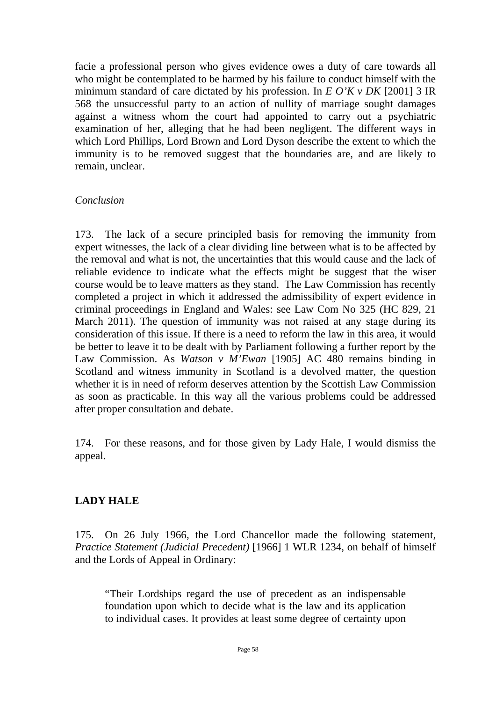facie a professional person who gives evidence owes a duty of care towards all who might be contemplated to be harmed by his failure to conduct himself with the minimum standard of care dictated by his profession. In *E O'K v DK* [2001] 3 IR 568 the unsuccessful party to an action of nullity of marriage sought damages against a witness whom the court had appointed to carry out a psychiatric examination of her, alleging that he had been negligent. The different ways in which Lord Phillips, Lord Brown and Lord Dyson describe the extent to which the immunity is to be removed suggest that the boundaries are, and are likely to remain, unclear.

#### *Conclusion*

173. The lack of a secure principled basis for removing the immunity from expert witnesses, the lack of a clear dividing line between what is to be affected by the removal and what is not, the uncertainties that this would cause and the lack of reliable evidence to indicate what the effects might be suggest that the wiser course would be to leave matters as they stand. The Law Commission has recently completed a project in which it addressed the admissibility of expert evidence in criminal proceedings in England and Wales: see Law Com No 325 (HC 829, 21 March 2011). The question of immunity was not raised at any stage during its consideration of this issue. If there is a need to reform the law in this area, it would be better to leave it to be dealt with by Parliament following a further report by the Law Commission. As *Watson v M'Ewan* [1905] AC 480 remains binding in Scotland and witness immunity in Scotland is a devolved matter, the question whether it is in need of reform deserves attention by the Scottish Law Commission as soon as practicable. In this way all the various problems could be addressed after proper consultation and debate.

174. For these reasons, and for those given by Lady Hale, I would dismiss the appeal.

#### **LADY HALE**

175. On 26 July 1966, the Lord Chancellor made the following statement, *Practice Statement (Judicial Precedent)* [1966] 1 WLR 1234, on behalf of himself and the Lords of Appeal in Ordinary:

"Their Lordships regard the use of precedent as an indispensable foundation upon which to decide what is the law and its application to individual cases. It provides at least some degree of certainty upon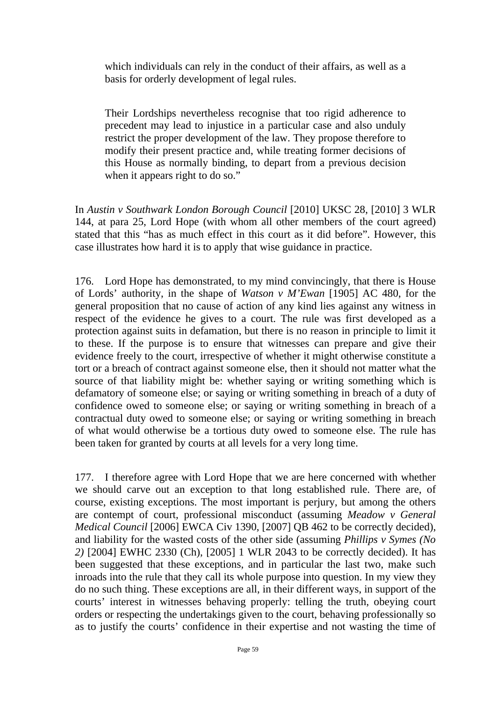which individuals can rely in the conduct of their affairs, as well as a basis for orderly development of legal rules.

Their Lordships nevertheless recognise that too rigid adherence to precedent may lead to injustice in a particular case and also unduly restrict the proper development of the law. They propose therefore to modify their present practice and, while treating former decisions of this House as normally binding, to depart from a previous decision when it appears right to do so."

In *Austin v Southwark London Borough Council* [2010] UKSC 28, [2010] 3 WLR 144, at para 25, Lord Hope (with whom all other members of the court agreed) stated that this "has as much effect in this court as it did before". However, this case illustrates how hard it is to apply that wise guidance in practice.

176. Lord Hope has demonstrated, to my mind convincingly, that there is House of Lords' authority, in the shape of *Watson v M'Ewan* [1905] AC 480, for the general proposition that no cause of action of any kind lies against any witness in respect of the evidence he gives to a court. The rule was first developed as a protection against suits in defamation, but there is no reason in principle to limit it to these. If the purpose is to ensure that witnesses can prepare and give their evidence freely to the court, irrespective of whether it might otherwise constitute a tort or a breach of contract against someone else, then it should not matter what the source of that liability might be: whether saying or writing something which is defamatory of someone else; or saying or writing something in breach of a duty of confidence owed to someone else; or saying or writing something in breach of a contractual duty owed to someone else; or saying or writing something in breach of what would otherwise be a tortious duty owed to someone else. The rule has been taken for granted by courts at all levels for a very long time.

177. I therefore agree with Lord Hope that we are here concerned with whether we should carve out an exception to that long established rule. There are, of course, existing exceptions. The most important is perjury, but among the others are contempt of court, professional misconduct (assuming *Meadow v General Medical Council* [2006] EWCA Civ 1390, [2007] QB 462 to be correctly decided), and liability for the wasted costs of the other side (assuming *Phillips v Symes (No 2)* [2004] EWHC 2330 (Ch), [2005] 1 WLR 2043 to be correctly decided). It has been suggested that these exceptions, and in particular the last two, make such inroads into the rule that they call its whole purpose into question. In my view they do no such thing. These exceptions are all, in their different ways, in support of the courts' interest in witnesses behaving properly: telling the truth, obeying court orders or respecting the undertakings given to the court, behaving professionally so as to justify the courts' confidence in their expertise and not wasting the time of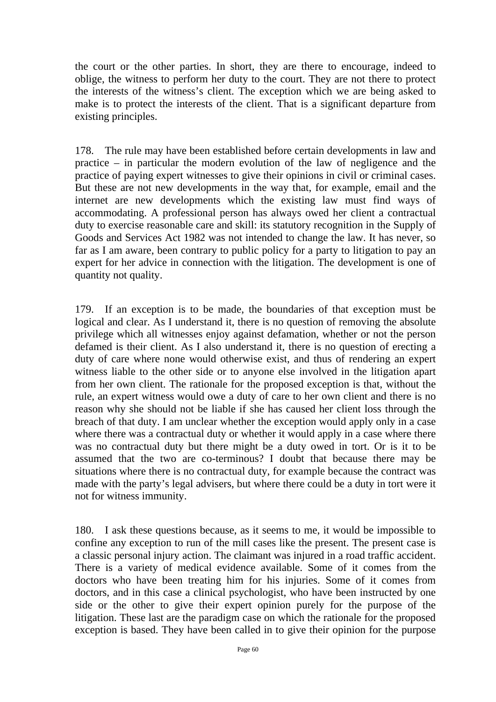the court or the other parties. In short, they are there to encourage, indeed to oblige, the witness to perform her duty to the court. They are not there to protect the interests of the witness's client. The exception which we are being asked to make is to protect the interests of the client. That is a significant departure from existing principles.

178. The rule may have been established before certain developments in law and practice – in particular the modern evolution of the law of negligence and the practice of paying expert witnesses to give their opinions in civil or criminal cases. But these are not new developments in the way that, for example, email and the internet are new developments which the existing law must find ways of accommodating. A professional person has always owed her client a contractual duty to exercise reasonable care and skill: its statutory recognition in the Supply of Goods and Services Act 1982 was not intended to change the law. It has never, so far as I am aware, been contrary to public policy for a party to litigation to pay an expert for her advice in connection with the litigation. The development is one of quantity not quality.

179. If an exception is to be made, the boundaries of that exception must be logical and clear. As I understand it, there is no question of removing the absolute privilege which all witnesses enjoy against defamation, whether or not the person defamed is their client. As I also understand it, there is no question of erecting a duty of care where none would otherwise exist, and thus of rendering an expert witness liable to the other side or to anyone else involved in the litigation apart from her own client. The rationale for the proposed exception is that, without the rule, an expert witness would owe a duty of care to her own client and there is no reason why she should not be liable if she has caused her client loss through the breach of that duty. I am unclear whether the exception would apply only in a case where there was a contractual duty or whether it would apply in a case where there was no contractual duty but there might be a duty owed in tort. Or is it to be assumed that the two are co-terminous? I doubt that because there may be situations where there is no contractual duty, for example because the contract was made with the party's legal advisers, but where there could be a duty in tort were it not for witness immunity.

180. I ask these questions because, as it seems to me, it would be impossible to confine any exception to run of the mill cases like the present. The present case is a classic personal injury action. The claimant was injured in a road traffic accident. There is a variety of medical evidence available. Some of it comes from the doctors who have been treating him for his injuries. Some of it comes from doctors, and in this case a clinical psychologist, who have been instructed by one side or the other to give their expert opinion purely for the purpose of the litigation. These last are the paradigm case on which the rationale for the proposed exception is based. They have been called in to give their opinion for the purpose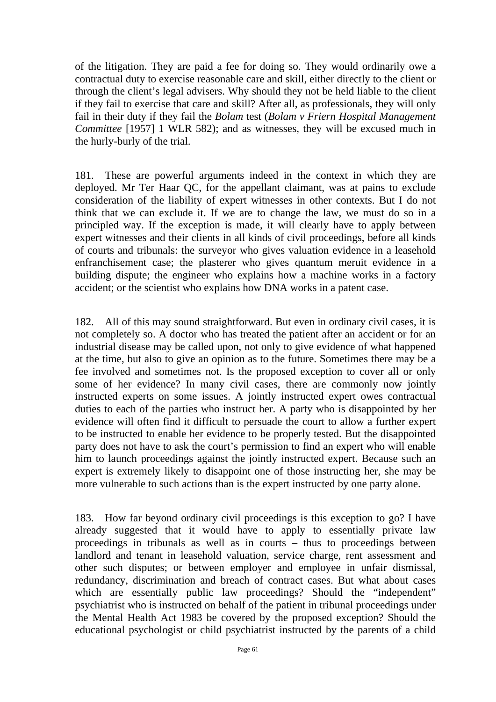of the litigation. They are paid a fee for doing so. They would ordinarily owe a contractual duty to exercise reasonable care and skill, either directly to the client or through the client's legal advisers. Why should they not be held liable to the client if they fail to exercise that care and skill? After all, as professionals, they will only fail in their duty if they fail the *Bolam* test (*Bolam v Friern Hospital Management Committee* [1957] 1 WLR 582); and as witnesses, they will be excused much in the hurly-burly of the trial.

181. These are powerful arguments indeed in the context in which they are deployed. Mr Ter Haar QC, for the appellant claimant, was at pains to exclude consideration of the liability of expert witnesses in other contexts. But I do not think that we can exclude it. If we are to change the law, we must do so in a principled way. If the exception is made, it will clearly have to apply between expert witnesses and their clients in all kinds of civil proceedings, before all kinds of courts and tribunals: the surveyor who gives valuation evidence in a leasehold enfranchisement case; the plasterer who gives quantum meruit evidence in a building dispute; the engineer who explains how a machine works in a factory accident; or the scientist who explains how DNA works in a patent case.

182. All of this may sound straightforward. But even in ordinary civil cases, it is not completely so. A doctor who has treated the patient after an accident or for an industrial disease may be called upon, not only to give evidence of what happened at the time, but also to give an opinion as to the future. Sometimes there may be a fee involved and sometimes not. Is the proposed exception to cover all or only some of her evidence? In many civil cases, there are commonly now jointly instructed experts on some issues. A jointly instructed expert owes contractual duties to each of the parties who instruct her. A party who is disappointed by her evidence will often find it difficult to persuade the court to allow a further expert to be instructed to enable her evidence to be properly tested. But the disappointed party does not have to ask the court's permission to find an expert who will enable him to launch proceedings against the jointly instructed expert. Because such an expert is extremely likely to disappoint one of those instructing her, she may be more vulnerable to such actions than is the expert instructed by one party alone.

183. How far beyond ordinary civil proceedings is this exception to go? I have already suggested that it would have to apply to essentially private law proceedings in tribunals as well as in courts – thus to proceedings between landlord and tenant in leasehold valuation, service charge, rent assessment and other such disputes; or between employer and employee in unfair dismissal, redundancy, discrimination and breach of contract cases. But what about cases which are essentially public law proceedings? Should the "independent" psychiatrist who is instructed on behalf of the patient in tribunal proceedings under the Mental Health Act 1983 be covered by the proposed exception? Should the educational psychologist or child psychiatrist instructed by the parents of a child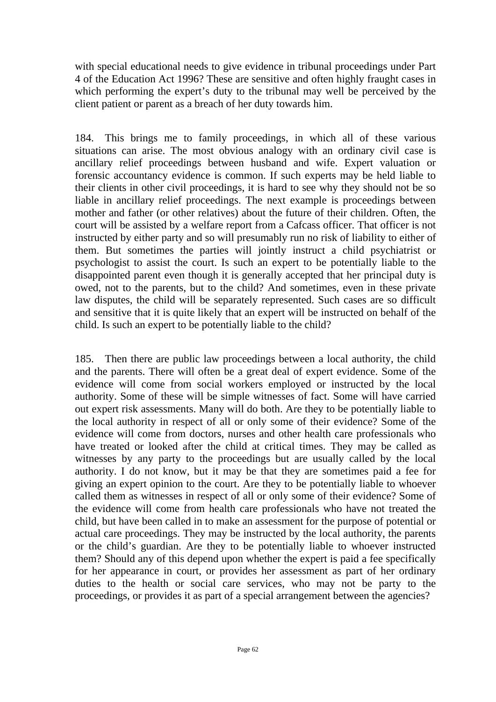with special educational needs to give evidence in tribunal proceedings under Part 4 of the Education Act 1996? These are sensitive and often highly fraught cases in which performing the expert's duty to the tribunal may well be perceived by the client patient or parent as a breach of her duty towards him.

184. This brings me to family proceedings, in which all of these various situations can arise. The most obvious analogy with an ordinary civil case is ancillary relief proceedings between husband and wife. Expert valuation or forensic accountancy evidence is common. If such experts may be held liable to their clients in other civil proceedings, it is hard to see why they should not be so liable in ancillary relief proceedings. The next example is proceedings between mother and father (or other relatives) about the future of their children. Often, the court will be assisted by a welfare report from a Cafcass officer. That officer is not instructed by either party and so will presumably run no risk of liability to either of them. But sometimes the parties will jointly instruct a child psychiatrist or psychologist to assist the court. Is such an expert to be potentially liable to the disappointed parent even though it is generally accepted that her principal duty is owed, not to the parents, but to the child? And sometimes, even in these private law disputes, the child will be separately represented. Such cases are so difficult and sensitive that it is quite likely that an expert will be instructed on behalf of the child. Is such an expert to be potentially liable to the child?

185. Then there are public law proceedings between a local authority, the child and the parents. There will often be a great deal of expert evidence. Some of the evidence will come from social workers employed or instructed by the local authority. Some of these will be simple witnesses of fact. Some will have carried out expert risk assessments. Many will do both. Are they to be potentially liable to the local authority in respect of all or only some of their evidence? Some of the evidence will come from doctors, nurses and other health care professionals who have treated or looked after the child at critical times. They may be called as witnesses by any party to the proceedings but are usually called by the local authority. I do not know, but it may be that they are sometimes paid a fee for giving an expert opinion to the court. Are they to be potentially liable to whoever called them as witnesses in respect of all or only some of their evidence? Some of the evidence will come from health care professionals who have not treated the child, but have been called in to make an assessment for the purpose of potential or actual care proceedings. They may be instructed by the local authority, the parents or the child's guardian. Are they to be potentially liable to whoever instructed them? Should any of this depend upon whether the expert is paid a fee specifically for her appearance in court, or provides her assessment as part of her ordinary duties to the health or social care services, who may not be party to the proceedings, or provides it as part of a special arrangement between the agencies?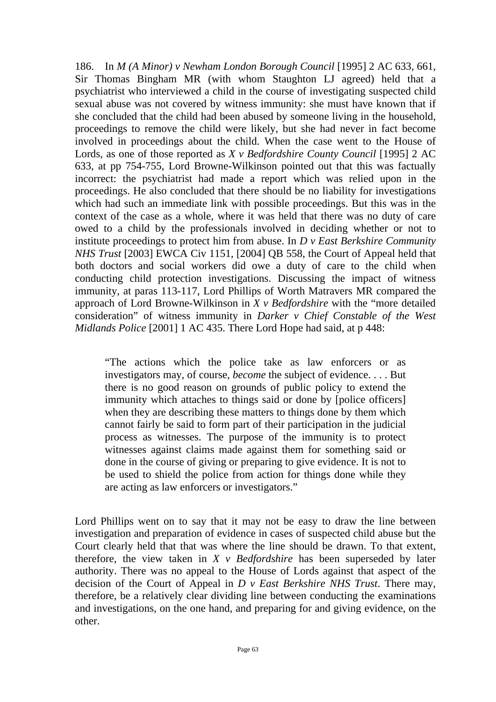186. In *M (A Minor) v Newham London Borough Council* [1995] 2 AC 633, 661, Sir Thomas Bingham MR (with whom Staughton LJ agreed) held that a psychiatrist who interviewed a child in the course of investigating suspected child sexual abuse was not covered by witness immunity: she must have known that if she concluded that the child had been abused by someone living in the household, proceedings to remove the child were likely, but she had never in fact become involved in proceedings about the child. When the case went to the House of Lords, as one of those reported as *X v Bedfordshire County Council* [1995] 2 AC 633, at pp 754-755, Lord Browne-Wilkinson pointed out that this was factually incorrect: the psychiatrist had made a report which was relied upon in the proceedings. He also concluded that there should be no liability for investigations which had such an immediate link with possible proceedings. But this was in the context of the case as a whole, where it was held that there was no duty of care owed to a child by the professionals involved in deciding whether or not to institute proceedings to protect him from abuse. In *D v East Berkshire Community NHS Trust* [2003] EWCA Civ 1151, [2004] QB 558, the Court of Appeal held that both doctors and social workers did owe a duty of care to the child when conducting child protection investigations. Discussing the impact of witness immunity, at paras 113-117, Lord Phillips of Worth Matravers MR compared the approach of Lord Browne-Wilkinson in *X v Bedfordshire* with the "more detailed consideration" of witness immunity in *Darker v Chief Constable of the West Midlands Police* [2001] 1 AC 435. There Lord Hope had said, at p 448:

"The actions which the police take as law enforcers or as investigators may, of course, *become* the subject of evidence. . . . But there is no good reason on grounds of public policy to extend the immunity which attaches to things said or done by [police officers] when they are describing these matters to things done by them which cannot fairly be said to form part of their participation in the judicial process as witnesses. The purpose of the immunity is to protect witnesses against claims made against them for something said or done in the course of giving or preparing to give evidence. It is not to be used to shield the police from action for things done while they are acting as law enforcers or investigators."

Lord Phillips went on to say that it may not be easy to draw the line between investigation and preparation of evidence in cases of suspected child abuse but the Court clearly held that that was where the line should be drawn. To that extent, therefore, the view taken in *X v Bedfordshire* has been superseded by later authority. There was no appeal to the House of Lords against that aspect of the decision of the Court of Appeal in *D v East Berkshire NHS Trust*. There may, therefore, be a relatively clear dividing line between conducting the examinations and investigations, on the one hand, and preparing for and giving evidence, on the other.